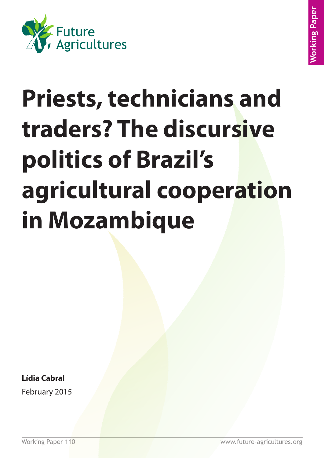

# **Priests, technicians and traders? The discursive politics of Brazil's agricultural cooperation in Mozambique**

**Lídia Cabral**

February 2015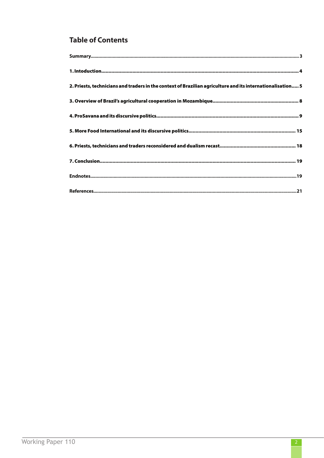# **Table of Contents**

| 2. Priests, technicians and traders in the context of Brazilian agriculture and its internationalisation 5 |
|------------------------------------------------------------------------------------------------------------|
|                                                                                                            |
|                                                                                                            |
|                                                                                                            |
|                                                                                                            |
|                                                                                                            |
|                                                                                                            |
|                                                                                                            |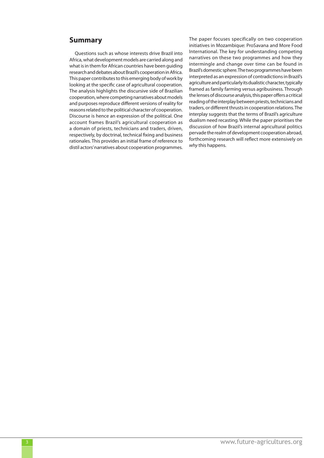## **Summary**

Questions such as whose interests drive Brazil into Africa, what development models are carried along and what is in them for African countries have been guiding research and debates about Brazil's cooperation in Africa. This paper contributes to this emerging body of work by looking at the specific case of agricultural cooperation. The analysis highlights the discursive side of Brazilian cooperation, where competing narratives about models and purposes reproduce different versions of reality for reasons related to the political character of cooperation. Discourse is hence an expression of the political. One account frames Brazil's agricultural cooperation as a domain of priests, technicians and traders, driven, respectively, by doctrinal, technical fixing and business rationales. This provides an initial frame of reference to distil actors' narratives about cooperation programmes. The paper focuses specifically on two cooperation initiatives in Mozambique: ProSavana and More Food International. The key for understanding competing narratives on these two programmes and how they intermingle and change over time can be found in Brazil's domestic sphere. The two programmes have been interpreted as an expression of contradictions in Brazil's agriculture and particularly its dualistic character, typically framed as family farming versus agribusiness. Through the lenses of discourse analysis, this paper offers a critical reading of the interplay between priests, technicians and traders, or different thrusts in cooperation relations. The interplay suggests that the terms of Brazil's agriculture dualism need recasting. While the paper prioritises the discussion of *how* Brazil's internal agricultural politics pervade the realm of development cooperation abroad, forthcoming research will reflect more extensively on *why* this happens.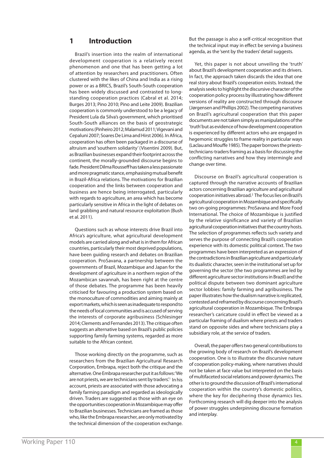## **1 Introduction**

Brazil's insertion into the realm of international development cooperation is a relatively recent phenomenon and one that has been getting a lot of attention by researchers and practitioners. Often clustered with the likes of China and India as a rising power or as a BRICS, Brazil's South-South cooperation has been widely discussed and contrasted to longstanding cooperation practices (Cabral et al. 2014; Burges 2013; Pino 2010; Pino and Leite 2009). Brazilian cooperation is commonly understood to be a legacy of President Lula da Silva's government, which prioritised South-South alliances on the basis of geostrategic motivations (Pinheiro 2012; Malamud 2011; Vigevani and Cepaluni 2007; Soares De Lima and Hirst 2006). In Africa, cooperation has often been packaged in a discourse of altruism and 'southern solidarity' (Visentini 2009). But, as Brazilian businesses expand their footprint across the continent, the morally-grounded discourse begins to fade. President Dilma Rousseff has taken a less passionate and more pragmatic stance, emphasising mutual benefit in Brazil-Africa relations. The motivations for Brazilian cooperation and the links between cooperation and business are hence being interrogated, particularly with regards to agriculture, an area which has become particularly sensitive in Africa in the light of debates on land grabbing and natural resource exploitation (Bush et al. 2011).

Questions such as whose interests drive Brazil into Africa's agriculture, what agricultural development models are carried along and what is in them for African countries, particularly their most deprived populations, have been guiding research and debates on Brazilian cooperation. ProSavana, a partnership between the governments of Brazil, Mozambique and Japan for the development of agriculture in a northern region of the Mozambican savannah, has been right at the centre of those debates. The programme has been heavily criticised for favouring a production system based on the monoculture of commodities and aiming mainly at export markets, which is seen as inadequate to respond to the needs of local communities and is accused of serving the interests of corporate agribusiness (Schlesinger 2014; Clements and Fernandes 2013). The critique often suggests an alternative based on Brazil's public policies supporting family farming systems, regarded as more suitable to the African context.

Those working directly on the programme, such as researchers from the Brazilian Agricultural Research Corporation, Embrapa, reject both the critique and the alternative. One Embrapa researcher put it as follows: 'We are not priests, we are technicians sent by traders'.<sup>1</sup> In his account, priests are associated with those advocating a family farming paradigm and regarded as ideologically driven. Traders are suggested as those with an eye on the opportunities cooperation in Mozambique may offer to Brazilian businesses. Technicians are framed as those who, like the Embrapa researcher, are only motivated by the technical dimension of the cooperation exchange. But the passage is also a self-critical recognition that the technical input may in effect be serving a business agenda, as the 'sent by the traders' detail suggests.

Yet, this paper is not about unveiling the 'truth' about Brazil's development cooperation and its drivers. In fact, the approach taken discards the idea that one real story about Brazil's cooperation exists. Instead, the analysis seeks to highlight the discursive character of the cooperation policy process by illustrating how different versions of reality are constructed through discourse (Jørgensen and Phillips 2002). The competing narratives on Brazil's agricultural cooperation that this paper documents are not taken simply as manipulations of the 'truth' but as evidence of how development cooperation is experienced by different actors who are engaged in hegemonic struggles to frame reality in particular ways (Laclau and Mouffe 1985). The paper borrows the prieststechnicians-traders framing as a basis for discussing the conflicting narratives and how they intermingle and change over time.

Discourse on Brazil's agricultural cooperation is captured through the narrative accounts of Brazilian actors concerning Brazilian agriculture and agricultural cooperation initiatives abroad.2 The focus lies on Brazil's agricultural cooperation in Mozambique and specifically two on-going programmes: ProSavana and More Food International. The choice of Mozambique is justified by the relative significance and variety of Brazilian agricultural cooperation initiatives that the country hosts. The selection of programmes reflects such variety and serves the purpose of connecting Brazil's cooperation experience with its domestic political context. The two programmes have been interpreted as an expression of the contradictions in Brazilian agriculture and particularly its dualistic character, seen in the institutional set up for governing the sector (the two programmes are led by different agriculture sector institutions in Brazil) and the political dispute between two dominant agriculture sector lobbies: family farming and agribusiness. The paper illustrates how the dualism narrative is replicated, contested and reframed by discourse concerning Brazil's agricultural cooperation in Mozambique. The Embrapa researcher's caricature could in effect be viewed as a particular framing of dualism where priests and traders stand on opposite sides and where technicians play a subsidiary role, at the service of traders.

Overall, the paper offers two general contributions to the growing body of research on Brazil's development cooperation. One is to illustrate the discursive nature of cooperation policy-making, where narratives should not be taken at face value but interpreted on the basis of multifaceted social relations and power dynamics. The other is to ground the discussion of Brazil's international cooperation within the country's domestic politics, where the key for deciphering those dynamics lies. Forthcoming research will dig deeper into the analysis of power struggles underpinning discourse formation and interplay.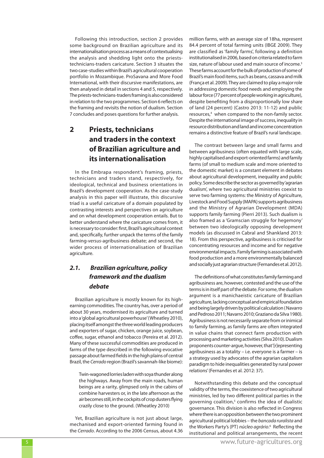Following this introduction, section 2 provides some background on Brazilian agriculture and its internationalisation process as a means of contextualising the analysis and shedding light onto the prieststechnicians-traders caricature. Section 3 situates the two case-studies within Brazil's agricultural cooperation portfolio in Mozambique. ProSavana and More Food International, with their discursive manifestations, are then analysed in detail in sections 4 and 5, respectively. The priests-technicians-traders framing is also considered in relation to the two programmes. Section 6 reflects on the framing and revisits the notion of dualism. Section 7 concludes and poses questions for further analysis.

# **2 Priests, technicians and traders in the context of Brazilian agriculture and its internationalisation**

In the Embrapa respondent's framing, priests, technicians and traders stand, respectively, for ideological, technical and business orientations in Brazil's development cooperation. As the case-study analysis in this paper will illustrate, this discursive triad is a useful caricature of a domain populated by contrasting interests and perspectives on agriculture and on what development cooperation entails. But to better understand where the caricature comes from, it is necessary to consider: first, Brazil's agricultural context and, specifically, further unpack the terms of the family farming-*versus*-agribusiness debate; and second, the wider process of internationalisation of Brazilian agriculture.

## *2.1. Brazilian agriculture, policy framework and the dualism debate*

Brazilian agriculture is mostly known for its highearning commodities. The country has, over a period of about 30 years, modernised its agriculture and turned into a 'global agricultural powerhouse' (Wheatley 2010), placing itself amongst the three world leading producers and exporters of sugar, chicken, orange juice, soybean, coffee, sugar, ethanol and tobacco (Pereira et al. 2012). Many of these successful commodities are produced in farms of the type described in the following evocative passage about farmed fields in the high plains of central Brazil, the *Cerrado* region (Brazil's savannah-like biome):

Twin-wagoned lorries laden with soya thunder along the highways. Away from the main roads, human beings are a rarity, glimpsed only in the cabins of combine harvesters or, in the late afternoon as the air becomes still, in the cockpits of crop dusters flying crazily close to the ground. (Wheatley 2010)

Yet, Brazilian agriculture is not just about large, mechanised and export-oriented farming found in the *Cerrado*. According to the 2006 Census, about 4.36 million farms, with an average size of 18ha, represent 84.4 percent of total farming units (IBGE 2009). They are classified as 'family farms', following a definition institutionalised in 2006, based on criteria related to farm size, nature of labour used and main source of income.3 These farms account for the bulk of production of some of Brazil's main food items, such as beans, cassava and milk (França et al. 2009). They are claimed to play a major role in addressing domestic food needs and employing the labour force (77 percent of people working in agriculture), despite benefiting from a disproportionally low share of land (24 percent) (Castro 2013: 11-12) and public resources,<sup>4</sup> when compared to the non-family sector. Despite the international image of success, inequality in resource distribution and land and income concentration remains a distinctive feature of Brazil's rural landscape.

The contrast between large and small farms and between agribusiness (often equated with large scale, highly capitalised and export-oriented farms) and family farms (of small to medium scale and more oriented to the domestic market) is a constant element in debates about agricultural development, inequality and public policy. Some describe the sector as governed by 'agrarian dualism', where two agricultural ministries coexist to serve two farming systems: the Ministry of Agriculture, Livestock and Food Supply (MAPA) supports agribusiness and the Ministry of Agrarian Development (MDA) supports family farming (Pierri 2013). Such dualism is also framed as a 'Gramscian struggle for hegemony' between two ideologically opposing development models (as discussed in Cabral and Shankland 2013: 18). From this perspective, agribusiness is criticised for concentrating resources and income and for negative environmental impacts. Family farming is associated with food production and a more environmentally balanced and socially just agrarian structure (Fernandes et al. 2012).

The definitions of what constitutes family farming and agribusiness are, however, contested and the use of the terms is in itself part of the debate. For some, the dualism argument is a manichaeistic caricature of Brazilian agriculture, lacking conceptual and empirical foundation and being largely driven by political calculation ( Navarro and Pedroso 2011; Navarro 2010; Graziano da Silva 1980). Agribusiness is not necessarily separate from or inimical to family farming, as family farms are often integrated in value chains that connect farm production with processing and marketing activities (Silva 2010). Dualism proponents counter-argue, however, that '[r]epresenting agribusiness as a totality – i.e. everyone is a farmer – is a strategy used by advocates of the agrarian capitalism paradigm to hide inequalities generated by rural power relations' (Fernandes et al. 2012: 37).

Notwithstanding this debate and the conceptual validity of the terms, the coexistence of two agricultural ministries, led by two different political parties in the governing coalition,<sup>5</sup> confirms the idea of dualistic governance. This division is also reflected in Congress where there is an opposition between the two prominent agricultural political lobbies – the *bancada ruralista* and the Workers Party's (PT) *núcleo agrário*. 6 Reflecting the institutional and political arrangements, the recent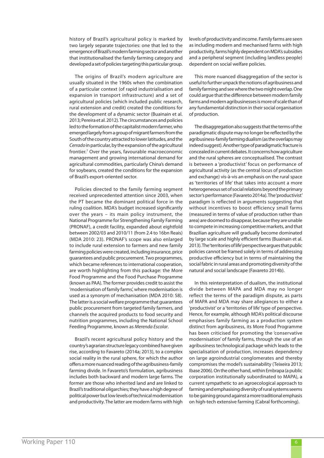history of Brazil's agricultural policy is marked by two largely separate trajectories: one that led to the emergence of Brazil's modern farming sector and another that institutionalised the family farming category and developed a set of policies targeting this particular group.

The origins of Brazil's modern agriculture are usually situated in the 1960s when the combination of a particular context (of rapid industrialisation and expansion in transport infrastructure) and a set of agricultural policies (which included public research, rural extension and credit) created the conditions for the development of a dynamic sector (Buainain et al. 2013; Pereira et al. 2012). The circumstances and policies led to the formation of the capitalist modern farmer, who emerged largely from a group of migrant farmers from the South of the country attracted to lower latitudes, and the *Cerrado* in particular, by the expansion of the agricultural frontier.7 Over the years, favourable macroeconomic management and growing international demand for agricultural commodities, particularly China's demand for soybeans, created the conditions for the expansion of Brazil's export-oriented sector.

Policies directed to the family farming segment received unprecedented attention since 2003, when the PT became the dominant political force in the ruling coalition. MDA's budget increased significantly over the years – its main policy instrument, the National Programme for Strengthening Family Farming (PRONAF), a credit facility, expanded about eightfold between 2002/03 and 2010/11 (from 2.4 to 16bn Reais) (MDA 2010: 23). PRONAF's scope was also enlarged to include rural extension to farmers and new family farming policies were created, including insurance, price guarantees and public procurement. Two programmes, which became references to international cooperation, are worth highlighting from this package: the More Food Programme and the Food Purchase Programme (known as PAA). The former provides credit to assist the 'modernisation of family farms', where modernisation is used as a synonym of mechanisation (MDA 2010: 58). The latter is a social welfare programme that guarantees public procurement from targeted family farmers, and channels the acquired products to food security and nutrition programmes, including the National School Feeding Programme, known as *Merenda Escolar*.

Brazil's recent agricultural policy history and the country's agrarian structure legacy combined have given rise, according to Favareto (2014a; 2013), to a complex social reality in the rural sphere, for which the author offers a more nuanced reading of the agribusiness-family farming divide. In Favareto's formulation, agribusiness includes both backward and modern large farms. The former are those who inherited land and are linked to Brazil's traditional oligarchies; they have a high degree of political power but low levels of technical modernisation and productivity. The latter are modern farms with high levels of productivity and income. Family farms are seen as including modern and mechanised farms with high productivity, farms highly dependent on MDA's subsidies and a peripheral segment (including landless people) dependent on social welfare policies.

This more nuanced disaggregation of the sector is useful to further unpack the notions of agribusiness and family farming and see where the two might overlap. One could argue that the difference between modern family farms and modern agribusinesses is more of scale than of any fundamental distinction in their social organisation of production.

The disaggregation also suggests that the terms of the paradigmatic dispute may no longer be reflected by the agribusiness-family farming dualism (as the overlaps may indeed suggest). Another type of paradigmatic fracture is concealed in current debates. It concerns how agriculture and the rural spheres are conceptualised. The contrast is between a 'productivist' focus on performance of agricultural activity (as the central locus of production and exchange) vis-à-vis an emphasis on the rural space as 'territories of life' that takes into account a more heterogeneous set of social relations beyond the primary sector's performance (Favareto 2014a). The 'productivist' paradigm is reflected in arguments suggesting that without incentives to boost efficiency small farms (measured in terms of value of production rather than area) are doomed to disappear, because they are unable to compete in increasing competitive markets, and that Brazilian agriculture will gradually become dominated by large scale and highly efficient farms (Buainain et al. 2013). The 'territories of life' perspective argues that public policies cannot be framed solely in terms of addressing productive efficiency but in terms of maintaining the social fabric in rural areas and promoting diversity of the natural and social landscape (Favareto 2014b).

In this reinterpretation of dualism, the institutional divide between MAPA and MDA may no longer reflect the terms of the paradigm dispute, as parts of MAPA and MDA may share allegiances to either a 'productivist' or a 'territories of life' type of perspective. Hence, for example, although MDA's political discourse emphasises family farming as a production system distinct from agribusiness, its More Food Programme has been criticised for promoting the 'conservative modernisation' of family farms, through the use of an agribusiness technological package which leads to the specialisation of production, increases dependency on large agroindustrial conglomerates and thereby compromises the model's sustainability (Teixeira 2013; Ibase 2006). On the other hand, within Embrapa (a public corporation institutionally subordinated to MAPA), a current sympathetic to an agroecological approach to farming and emphasising diversity of rural systems seems to be gaining ground against a more traditional emphasis on high-tech extensive farming (Cabral forthcoming).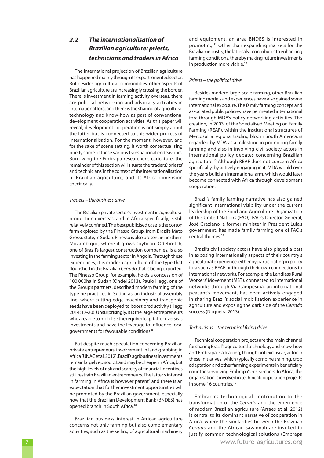## *2.2 The internationalisation of Brazilian agriculture: priests, technicians and traders in Africa*

The international projection of Brazilian agriculture has happened mainly through its export-oriented sector. But besides agricultural commodities, other aspects of Brazilian agriculture are increasingly crossing the border. There is investment in farming activity overseas, there are political networking and advocacy activities in international fora, and there is the sharing of agricultural technology and know-how as part of conventional development cooperation activities. As this paper will reveal, development cooperation is not simply about the latter but is connected to this wider process of internationalisation. For the moment, however, and for the sake of scene setting, it worth contextualising briefly some of these various transnational endeavours. Borrowing the Embrapa researcher's caricature, the remainder of this section will situate the 'traders', 'priests' and 'technicians' in the context of the internationalisation of Brazilian agriculture, and its Africa dimension specifically.

#### *Traders – the business drive*

The Brazilian private sector's investment in agricultural production overseas, and in Africa specifically, is still relatively confined. The best publicised case is the cotton farm explored by the Pinesso Group, from Brazil's Mato Grosso state, in Sudan. Pinesso is also present in northern Mozambique, where it grows soybean. Odebretch, one of Brazil's largest construction companies, is also investing in the farming sector in Angola. Through these experiences, it is modern agriculture of the type that flourished in the Brazilian *Cerrado* that is being exported. The Pinesso Group, for example, holds a concession of 100,000ha in Sudan (Ondei 2013). Paulo Hegg, one of the Group's partners, described modern farming of the type he practices in Sudan as 'an industrial assembly line', where cutting edge machinery and transgenic seeds have been deployed to boost productivity (Hegg 2014: 17-20). Unsurprisingly, it is the large entrepreneurs who are able to mobilise the required capital for overseas investments and have the leverage to influence local governments for favourable conditions.8

But despite much speculation concerning Brazilian private entrepreneurs' involvement in land grabbing in Africa (UNAC et al. 2012), Brazil's agribusiness investments remain largely episodic. Land may be cheaper in Africa, but the high levels of risk and scarcity of financial incentives still restrain Brazilian entrepreneurs. The latter's interest in farming in Africa is however patent<sup>9</sup> and there is an expectation that further investment opportunities will be promoted by the Brazilian government, especially now that the Brazilian Development Bank (BNDES) has opened branch in South Africa.10

Brazilian business' interest in African agriculture concerns not only farming but also complementary activities, such as the selling of agricultural machinery and equipment, an area BNDES is interested in promoting.11 Other than expanding markets for the Brazilian industry, the latter also contributes to enhancing farming conditions, thereby making future investments in production more viable.<sup>12</sup>

#### *Priests – the political drive*

Besides modern large-scale farming, other Brazilian farming models and experiences have also gained some international exposure. The family farming concept and associated public policies have permeated international fora through MDA's policy networking activities. The creation, in 2003, of the Specialised Meeting on Family Farming (REAF), within the institutional structures of Mercosul, a regional trading bloc in South America, is regarded by MDA as a milestone in promoting family farming and also in involving civil society actors in international policy debates concerning Brazilian agriculture.13 Although REAF does not concern Africa specifically, by actively engaging in it, MDA would over the years build an international arm, which would later become connected with Africa through development cooperation.

Brazil's family farming narrative has also gained significant international visibility under the current leadership of the Food and Agriculture Organization of the United Nations (FAO). FAO's Director-General, José Graziano, a former minister in President Lula's government, has made family farming one of FAO's central themes.14

Brazil's civil society actors have also played a part in exposing internationally aspects of their country's agricultural experience, either by participating in policy fora such as REAF or through their own connections to international networks. For example, the Landless Rural Workers' Movement (MST), connected to international networks through Via Campesina, an international peasant's movement, has been actively engaged in sharing Brazil's social mobilisation experience in agriculture and exposing the dark side of the *Cerrado* success (Nogueira 2013).

#### *Technicians – the technical fixing drive*

Technical cooperation projects are the main channel for sharing Brazil's agricultural technology and know-how and Embrapa is a leading, though not exclusive, actor in these initiatives, which typically combine training, crop adaptation and other farming experiments in beneficiary countries involving Embrapa's researchers. In Africa, the organisation is involved in technical cooperation projects in some 16 countries.<sup>15</sup>

Embrapa's technological contribution to the transformation of the *Cerrado* and the emergence of modern Brazilian agriculture (Arraes et al. 2012) is central to its dominant narrative of cooperation in Africa, where the similarities between the Brazilian *Cerrado* and the African savannah are invoked to justify common technological solutions (Embrapa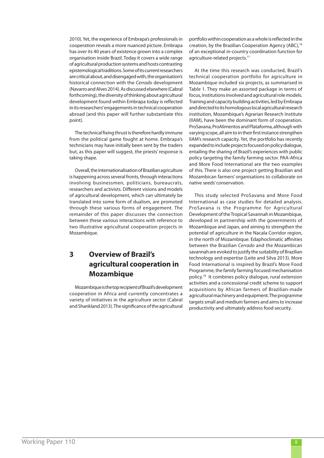2010). Yet, the experience of Embrapa's professionals in cooperation reveals a more nuanced picture. Embrapa has over its 40 years of existence grown into a complex organisation inside Brazil. Today it covers a wide range of agricultural production systems and hosts contrasting epistemological traditions. Some of its current researchers are critical about, and disengaged with, the organisation's historical connection with the *Cerrado* development (Navarro and Alves 2014). As discussed elsewhere (Cabral forthcoming), the diversity of thinking about agricultural development found within Embrapa today is reflected in its researchers' engagements in technical cooperation abroad (and this paper will further substantiate this point).

The technical fixing thrust is therefore hardly immune from the political game fought at home. Embrapa's technicians may have initially been sent by the traders but, as this paper will suggest, the priests' response is taking shape.

Overall, the internationalisation of Brazilian agriculture is happening across several fronts, through interactions involving businessmen, politicians, bureaucrats, researchers and activists. Different visions and models of agricultural development, which can ultimately be translated into some form of dualism, are promoted through these various forms of engagement. The remainder of this paper discusses the connection between these various interactions with reference to two illustrative agricultural cooperation projects in Mozambique.

# **3 Overview of Brazil's agricultural cooperation in Mozambique**

Mozambique is the top recipient of Brazil's development cooperation in Africa and currently concentrates a variety of initiatives in the agriculture sector (Cabral and Shankland 2013). The significance of the agricultural portfolio within cooperation as a whole is reflected in the creation, by the Brazilian Cooperation Agency (ABC),16 of an exceptional in-country coordination function for agriculture-related projects.<sup>17</sup>

At the time this research was conducted, Brazil's technical cooperation portfolio for agriculture in Mozambique included six projects, as summarised in Table 1. They make an assorted package in terms of focus, institutions involved and agricultural role models. Training and capacity building activities, led by Embrapa and directed to its homologous local agricultural research institution, Mozambique's Agrarian Research Institute (IIAM), have been the dominant form of cooperation. ProSavana, ProAlimentos and Plataforma, although with varying scope, all aim to in their first instance strengthen IIAM's research capacity. Yet, the portfolio has recently expanded to include projects focused on policy dialogue, entailing the sharing of Brazil's experiences with public policy targeting the family farming sector. PAA-Africa and More Food International are the two examples of this. There is also one project getting Brazilian and Mozambican farmers' organisations to collaborate on native seeds' conservation.

This study selected ProSavana and More Food International as case studies for detailed analysis. ProSavana is the Programme for Agricultural Development of the Tropical Savannah in Mozambique, developed in partnership with the governments of Mozambique and Japan, and aiming to strengthen the potential of agriculture in the Nacala Corridor region, in the north of Mozambique. Edaphoclimatic affinities between the Brazilian *Cerrado* and the Mozambican savannah are evoked to justify the suitability of Brazilian technology and expertise (Leite and Silva 2013). More Food International is inspired by Brazil's More Food Programme, the family farming focused mechanisation policy.18 It combines policy dialogue, rural extension activities and a concessional credit scheme to support acquisitions by African farmers of Brazilian-made agricultural machinery and equipment. The programme targets small and medium farmers and aims to increase productivity and ultimately address food security.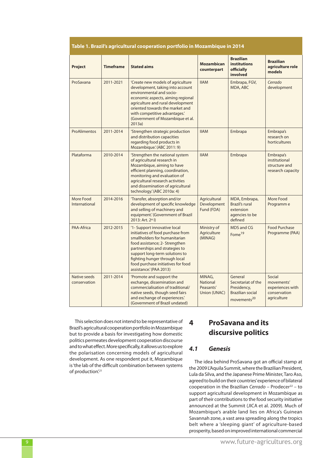#### **Table 1. Brazil's agricultural cooperation portfolio in Mozambique in 2014**

| <b>Project</b>               | <b>Timeframe</b> | <b>Stated aims</b>                                                                                                                                                                                                                                                                                         | <b>Mozambican</b><br>counterpart                       | <b>Brazilian</b><br><b>institutions</b><br>officially<br>involved                                  | <b>Brazilian</b><br>agriculture role<br>models                          |
|------------------------------|------------------|------------------------------------------------------------------------------------------------------------------------------------------------------------------------------------------------------------------------------------------------------------------------------------------------------------|--------------------------------------------------------|----------------------------------------------------------------------------------------------------|-------------------------------------------------------------------------|
| ProSavana                    | 2011-2021        | 'Create new models of agriculture<br>development, taking into account<br>environmental and socio-<br>economic aspects, aiming regional<br>agriculture and rural development<br>oriented towards the market and<br>with competitive advantages.'<br>(Government of Mozambique et al.<br>2013a)              | <b>IIAM</b>                                            | Embrapa, FGV,<br>MDA, ABC                                                                          | Cerrado<br>development                                                  |
| <b>ProAlimentos</b>          | 2011-2014        | 'Strengthen strategic production<br>and distribution capacities<br>regarding food products in<br>Mozambique.' (ABC 2011: 9)                                                                                                                                                                                | <b>IIAM</b>                                            | Embrapa                                                                                            | Embrapa's<br>research on<br>horticultures                               |
| Plataforma                   | 2010-2014        | 'Strengthen the national system<br>of agricultural research in<br>Mozambique, aiming to have<br>efficient planning, coordination,<br>monitoring and evaluation of<br>agricultural research activities<br>and dissemination of agricultural<br>technology.' (ABC 2010a: 4)                                  | <b>IIAM</b>                                            | Embrapa                                                                                            | Embrapa's<br>institutional<br>structure and<br>research capacity        |
| More Food<br>International   | 2014-2016        | 'Transfer, absorption and/or<br>development of specific knowledge<br>and selling of machinery and<br>equipment.' (Government of Brazil<br>2013: Art. 2° I)                                                                                                                                                 | Agricultural<br>Development<br>Fund (FDA)              | MDA, Embrapa,<br><b>Brazil's rural</b><br>extension<br>agencies to be<br>defined                   | More Food<br>Programm e                                                 |
| <b>PAA-Africa</b>            | 2012-2015        | '1- Support innovative local<br>initiatives of food purchase from<br>smallholders for humanitarian<br>food assistance; 2- Strengthen<br>partnerships and strategies to<br>support long-term solutions to<br>fighting hunger through local<br>food purchase initiatives for food<br>assistance.' (PAA 2013) | Ministry of<br>Agriculture<br>(MINAG)                  | <b>MDS and CG</b><br>Fome <sup>19</sup>                                                            | <b>Food Purchase</b><br>Programme (PAA)                                 |
| Native seeds<br>conservation | 2011-2014        | 'Promote and support the<br>exchange, dissemination and<br>commercialisation of traditional/<br>native seeds, though seed fairs<br>and exchange of experiences.'<br>(Government of Brazil undated)                                                                                                         | MINAG,<br><b>National</b><br>Peasants'<br>Union (UNAC) | General<br>Secretariat of the<br>Presidency,<br><b>Brazilian social</b><br>movements <sup>20</sup> | Social<br>movements'<br>experiences with<br>conservation<br>agriculture |

This selection does not intend to be representative of Brazil's agricultural cooperation portfolio in Mozambique but to provide a basis for investigating how domestic politics permeates development cooperation discourse and to what effect. More specifically, it allows us to explore the polarisation concerning models of agricultural development. As one respondent put it, Mozambique is 'the lab of the difficult combination between systems of production'.<sup>21</sup>

# **4 ProSavana and its discursive politics**

## *4.1 Genesis*

The idea behind ProSavana got an official stamp at the 2009 L'Aquila Summit, where the Brazilian President, Lula da Silva, and the Japanese Prime Minister, Taro Aso, agreed to build on their countries' experience of bilateral cooperation in the Brazilian *Cerrado* – Prodecer<sup>22</sup> – to support agricultural development in Mozambique as part of their contributions to the food security initiative announced at the Summit (JICA et al. 2009). Much of Mozambique's arable land lies on Africa's Guinean Savannah zone, a vast area spreading along the tropics belt where a 'sleeping giant' of agriculture-based prosperity, based on improved international commercial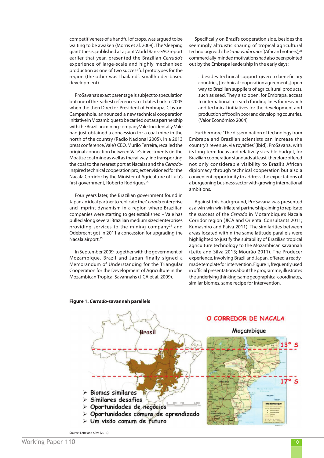competitiveness of a handful of crops, was argued to be waiting to be awaken (Morris et al. 2009). The 'sleeping giant' thesis, published as a joint World Bank-FAO report earlier that year, presented the Brazilian *Cerrado's*  experience of large-scale and highly mechanised production as one of two successful prototypes for the region (the other was Thailand's smallholder-based development).

ProSavana's exact parentage is subject to speculation but one of the earliest references to it dates back to 2005 when the then Director-President of Embrapa, Clayton Campanhola, announced a new technical cooperation initiative in Mozambique to be carried out as a partnership with the Brazilian mining company Vale. Incidentally, Vale had just obtained a concession for a coal mine in the north of the country (Rádio Nacional 2005). In a 2013 press conference, Vale's CEO, Murilo Ferreira, recalled the original connection between Vale's investments (in the Moatize coal mine as well as the railway line transporting the coal to the nearest port at Nacala) and the *Cerrado*inspired technical cooperation project envisioned for the Nacala Corridor by the Minister of Agriculture of Lula's first government, Roberto Rodrigues.23

Four years later, the Brazilian government found in Japan an ideal partner to replicate the *Cerrado* enterprise and imprint dynamism in a region where Brazilian companies were starting to get established – Vale has pulled along several Brazilian medium sized enterprises providing services to the mining company $24$  and Odebrecht got in 2011 a concession for upgrading the Nacala airport.<sup>25</sup>

In September 2009, together with the government of Mozambique, Brazil and Japan finally signed a Memorandum of Understanding for the Triangular Cooperation for the Development of Agriculture in the Mozambican Tropical Savannahs (JICA et al. 2009).

Specifically on Brazil's cooperation side, besides the seemingly altruistic sharing of tropical agricultural technology with the 'irmãos africanos' (African brothers), 26 commercially-minded motivations had also been pointed out by the Embrapa leadership in the early days:

...besides technical support given to beneficiary countries, [technical cooperation agreements] open way to Brazilian suppliers of agricultural products, such as seed. They also open, for Embrapa, access to international research funding lines for research and technical initiatives for the development and production of food in poor and developing countries. (Valor Econômico 2004)

 Furthermore, 'The dissemination of technology from Embrapa and Brazilian scientists can increase the country's revenue, via royalties' (Ibid). ProSavana, with its long-term focus and relatively sizeable budget, for Brazilian cooperation standards at least, therefore offered not only considerable visibility to Brazil's African diplomacy through technical cooperation but also a convenient opportunity to address the expectations of a burgeoning business sector with growing international ambitions.

Against this background, ProSavana was presented as a 'win-win-win' trilateral partnership aiming to replicate the success of the *Cerrado* in Mozambique's Nacala Corridor region (JICA and Oriental Consultants 2011; Kumashiro and Paiva 2011). The similarities between areas located within the same latitude parallels were highlighted to justify the suitability of Brazilian tropical agriculture technology to the Mozambican savannah (Leite and Silva 2013; Mourão 2011). The Prodecer experience, involving Brazil and Japan, offered a readymade template for intervention. Figure 1, frequently used in official presentations about the programme, illustrates the underlying thinking: same geographical coordinates, similar biomes, same recipe for intervention.



#### **Figure 1.** *Cerrado***-savannah parallels**

Source: Leite and Silva (2013).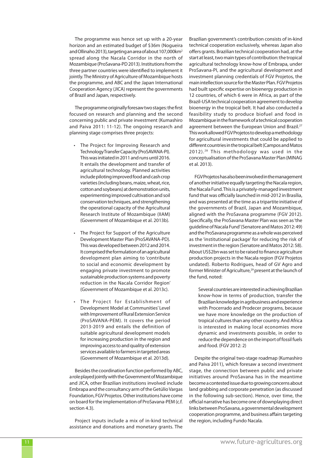The programme was hence set up with a 20-year horizon and an estimated budget of \$36m (Nogueira and Ollinaho 2013), targeting an area of about 107,000km2 spread along the Nacala Corridor in the north of Mozambique (ProSavana-PD 2013). Institutions from the three partner countries were identified to implement it jointly. The Ministry of Agriculture of Mozambique hosts the programme, and ABC and the Japan International Cooperation Agency (JICA) represent the governments of Brazil and Japan, respectively.

The programme originally foresaw two stages: the first focused on research and planning and the second concerning public and private investment (Kumashiro and Paiva 2011: 11-12). The ongoing research and planning stage comprises three projects:

- The Project for Improving Research and Technology Transfer Capacity (ProSAVANA-PI). This was initiated in 2011 and runs until 2016. It entails the development and transfer of agricultural technology. Planned activities include piloting improved food and cash crop varieties (including beans, maize, wheat, rice, cotton and soybeans) at demonstration units, experimenting improved cultivation and soil conservation techniques, and strengthening the operational capacity of the Agricultural Research Institute of Mozambique (IIAM) (Government of Mozambique et al. 2013b)*.*
- The Project for Support of the Agriculture Development Master Plan (ProSAVANA-PD). This was developed between 2012 and 2014. It comprised the formulation of an agricultural development plan aiming to 'contribute to social and economic development by engaging private investment to promote sustainable production systems and poverty reduction in the Nacala Corridor Region' (Government of Mozambique et al. 2013c).
- The Project for Establishment of Development Model at Communities' Level with Improvement of Rural Extension Service (ProSAVANA-PEM). It covers the period 2013-2019 and entails the definition of suitable agricultural development models for increasing production in the region and improving access to and quality of extension services available to farmers in targeted areas (Government of Mozambique et al. 2013d).

Besides the coordination function performed by ABC, a role played jointly with the Government of Mozambique and JICA, other Brazilian institutions involved include Embrapa and the consultancy arm of the Getúlio Vargas Foundation, FGV Projetos. Other institutions have come on board for the implementation of ProSavana-PEM (c.f. section 4.3).

Project inputs include a mix of in-kind technical assistance and donations and monetary grants. The Brazilian government's contribution consists of in-kind technical cooperation exclusively, whereas Japan also offers grants. Brazilian technical cooperation had, at the start at least, two main types of contribution: the tropical agricultural technology know-how of Embrapa, under ProSavana-PI, and the agricultural development and investment planning credentials of FGV Projetos, the main intellection source for the Master Plan. FGV Projetos had built specific expertise on bioenergy production in 12 countries, of which 6 were in Africa, as part of the Brazil-USA technical cooperation agreement to develop bioenergy in the tropical belt. It had also conducted a feasibility study to produce biofuel and food in Mozambique in the framework of a technical cooperation agreement between the European Union and Brazil.<sup>27</sup> This work allowed FGV Projetos to develop a methodology for agricultural investments that could be applied to different countries in the tropical belt (Campos and Matos 2012).<sup>28</sup> This methodology was used in the conceptualisation of the ProSavana Master Plan (MINAG et al. 2013).

FGV Projetos has also been involved in the management of another initiative equally targeting the Nacala region, the Nacala Fund. This is a privately-managed investment fund that was officially launched in mid-2012 in Brasília, and was presented at the time as a tripartite initiative of the governments of Brazil, Japan and Mozambique, aligned with the ProSavana programme (FGV 2012). Specifically, the ProSavana Master Plan was seen as 'the guideline of Nacala Fund' (Senatore and Matos 2012: 49) and the ProSavana programme as a whole was perceived as the 'institutional package' for reducing the risk of investment in the region (Senatore and Matos 2012: 58). About US\$2bn was set to be raised to finance agriculture production projects in the Nacala region (FGV Projetos undated). Roberto Rodrigues, head of GV Agro and former Minister of Agriculture,<sup>29</sup> present at the launch of the fund, noted:

Several countries are interested in achieving Brazilian know-how in terms of production, transfer the Brazilian knowledge in agribusiness and experience with Procerrado and Prodecer programs, because we have more knowledge on the production of tropical cultures than any other country. And Africa is interested in making local economies more dynamic and investments possible, in order to reduce the dependence on the import of fossil fuels and food. (FGV 2012: 2)

Despite the original two-stage roadmap (Kumashiro and Paiva 2011), which foresaw a second investment stage, the connection between public and private initiatives around ProSavana has in the meantime become a contested issue due to growing concerns about land grabbing and corporate penetration (as discussed in the following sub-section). Hence, over time, the official narrative has become one of downplaying direct links between ProSavana, a governmental development cooperation programme, and business affairs targeting the region, including Fundo Nacala.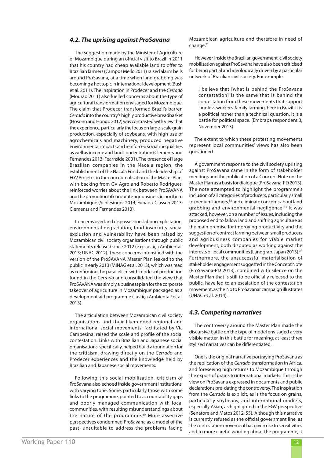## *4.2. The uprising against ProSavana*

The suggestion made by the Minister of Agriculture of Mozambique during an official visit to Brazil in 2011 that his country had cheap available land to offer to Brazilian farmers (Campos Mello 2011) raised alarm bells around ProSavana, at a time when land grabbing was becoming a hot topic in international development (Bush et al. 2011). The inspiration in Prodecer and the *Cerrado* (Mourão 2011) also fuelled concerns about the type of agricultural transformation envisaged for Mozambique. The claim that Prodecer transformed Brazil's barren *Cerrado* into the country's highly productive breadbasket (Hosono and Hongo 2012) was contrasted with view that the experience, particularly the focus on large-scale grain production, especially of soybeans, with high use of agrochemicals and machinery, produced negative environmental impacts and reinforced social inequalities as well as income and land concentration (Clements and Fernandes 2013; Fearnside 2001). The presence of large Brazilian companies in the Nacala region, the establishment of the Nacala Fund and the leadership of FGV Projetos in the conceptualisation of the Master Plan, with backing from GV Agro and Roberto Rodrigues, reinforced worries about the link between ProSAVANA and the promotion of corporate agribusiness in northern Mozambique (Schlesinger 2014; Funada-Classen 2013; Clements and Fernandes 2013).

Concerns over land dispossession, labour exploitation, environmental degradation, food insecurity, social exclusion and vulnerability have been raised by Mozambican civil society organisations through public statements released since 2012 (e.g. Justiça Ambiental! 2013; UNAC 2012). These concerns intensified with the version of the ProSAVANA Master Plan leaked to the public in early 2013 (MINAG et al. 2013), which was read as confirming the parallelism with modes of production found in the *Cerrado* and consolidated the view that ProSAVANA was 'simply a business plan for the corporate takeover of agriculture in Mozambique' packaged as a development aid programme (Justiça Ambiental! et al. 2013).

The articulation between Mozambican civil society organisations and their likeminded regional and international social movements, facilitated by Via Campesina, raised the scale and profile of the social contestation. Links with Brazilian and Japanese social organisations, specifically, helped build a foundation for the criticism, drawing directly on the *Cerrado* and Prodecer experiences and the knowledge held by Brazilian and Japanese social movements.

Following this social mobilisation, criticism of ProSavana also echoed inside government institutions, with varying tone. Some, particularly those with some links to the programme, pointed to accountability gaps and poorly managed communication with local communities, with resulting misunderstandings about the nature of the programme.<sup>30</sup> More assertive perspectives condemned ProSavana as a model of the past, unsuitable to address the problems facing Mozambican agriculture and therefore in need of change.<sup>31</sup>

However, inside the Brazilian government, civil society mobilisation against ProSavana have also been criticised for being partial and ideologically driven by a particular network of Brazilian civil society. For example:

I believe that [what is behind the ProSavana contestation] is the same that is behind the contestation from these movements that support landless workers, family farming, here in Brazil. It is a political rather than a technical question. It is a battle for political space. (Embrapa respondent 3, November 2013)

The extent to which these protesting movements represent local communities' views has also been questioned.

A government response to the civil society uprising against ProSavana came in the form of stakeholder meetings and the publication of a Concept Note on the Master Plan as a basis for dialogue (ProSavana-PD 2013). The note attempted to highlight the programme's inclusion of all categories of producers, particularly small to medium farmers,<sup>32</sup> and eliminate concerns about land grabbing and environmental negligence.<sup>33</sup> It was attacked, however, on a number of issues, including the proposed end to fallow land and shifting agriculture as the main premise for improving productivity and the suggestion of contract farming between small producers and agribusiness companies for viable market development, both disputed as working against the interests of local communities (Landgrab-Japan 2013).<sup>34</sup> Furthermore, the unsuccessful materialisation of stakeholder engagement suggested in the Concept Note (ProSavana-PD 2013), combined with silence on the Master Plan that is still to be officially released to the public, have led to an escalation of the contestation movement, as the 'No to ProSavana!' campaign illustrates (UNAC et al. 2014).

#### *4.3. Competing narratives*

The controversy around the Master Plan made the discursive battle on the type of model envisaged a very visible matter. In this battle for meaning, at least three stylised narratives can be differentiated.

One is the original narrative portraying ProSavana as the replication of the *Cerrado* transformation in Africa, and foreseeing high returns to Mozambique through the export of grains to international markets. This is the view on ProSavana expressed in documents and public declarations pre-dating the controversy. The inspiration from the *Cerrado* is explicit, as is the focus on grains, particularly soybeans, and international markets, especially Asian, as highlighted in the FGV perspective (Senatore and Matos 2012: 55). Although this narrative is currently refused as the official government line, as the contestation movement has given rise to sensitivities and to more careful wording about the programme, it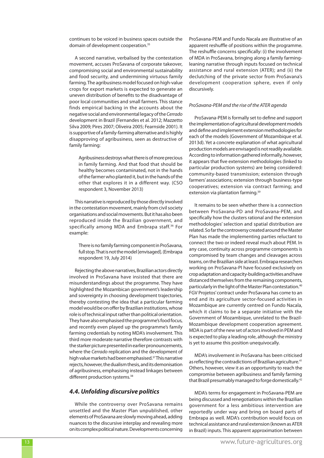continues to be voiced in business spaces outside the domain of development cooperation.35

A second narrative, verbalised by the contestation movement, accuses ProSavana of corporate takeover, compromising social and environmental sustainability and food security, and undermining virtuous family farming. The agribusiness model focused on high-value crops for export markets is expected to generate an uneven distribution of benefits to the disadvantage of poor local communities and small farmers. This stance finds empirical backing in the accounts about the negative social and environmental legacy of the *Cerrado* development in Brazil (Fernandes et al. 2012; Mazzetto Silva 2009; Pires 2007; Oliveira 2005; Fearnside 2001). It is supportive of a family-farming alternative and is highly disapproving of agribusiness, seen as destructive of family farming:

Agribusiness destroys what there is of more precious in family farming. And that food that should be healthy becomes contaminated, not in the hands of the farmer who planted it, but in the hands of the other that explores it in a different way. (CSO respondent 3, November 2013)

This narrative is reproduced by those directly involved in the contestation movement, mainly from civil society organisations and social movements. But it has also been reproduced inside the Brazilian government, and specifically among MDA and Embrapa staff.<sup>36</sup> For example:

There is no family farming component in ProSavana, full stop. That is not the model [envisaged]. (Embrapa respondent 19, July 2014)

Rejecting the above narratives, Brazilian actors directly involved in ProSavana have insisted that there are misunderstandings about the programme. They have highlighted the Mozambican government's leadership and sovereignty in choosing development trajectories, thereby contesting the idea that a particular farming model would be on offer by Brazilian institutions, whose role is of technical input rather than political orientation. They have also emphasised the programme's food focus, and recently even played up the programme's family farming credentials by noting MDA's involvement. This third more moderate narrative therefore contrasts with the starker picture presented in earlier pronouncements, where the *Cerrado* replication and the development of high value markets had been emphasised.37 This narrative rejects, however, the dualism thesis, and its demonisation of agribusiness, emphasising instead linkages between different production systems.<sup>38</sup>

## *4.4. Unfolding discursive politics*

While the controversy over ProSavana remains unsettled and the Master Plan unpublished, other elements of ProSavana are slowly moving ahead, adding nuances to the discursive interplay and revealing more on its complex political nature. Developments concerning ProSavana-PEM and Fundo Nacala are illustrative of an apparent reshuffle of positions within the programme. The reshuffle concerns specifically: (i) the involvement of MDA in ProSavana, bringing along a family farmingleaning narrative through inputs focused on technical assistance and rural extension (ATER); and (ii) the declutching of the private sector from ProSavana's development cooperation sphere, even if only discursively.

#### *ProSavana-PEM and the rise of the ATER agenda*

ProSavana-PEM is formally set to define and support the implementation of agricultural development models and define and implement extension methodologies for each of the models (Government of Mozambique et al. 2013d). Yet a concrete explanation of what agricultural production models are envisaged is not readily available. According to information gathered informally, however, it appears that five extension methodologies (linked to particular production systems) are being considered: community-based transmission; extension through farmers' associations; extension through business-type cooperatives; extension via contract farming; and extension via plantation farming.<sup>39</sup>

It remains to be seen whether there is a connection between ProSavana-PD and ProSavana-PEM, and specifically how the clusters rational and the extension methodologies' selection and spatial distribution are related. So far the controversy created around the Master Plan has made the implementing parties reluctant to connect the two or indeed reveal much about PEM. In any case, continuity across programme components is compromised by team changes and cleavages across teams, on the Brazilian side at least. Embrapa researchers working on ProSavana-PI have focused exclusively on crop adaptation and capacity-building activities and have distanced themselves from the remaining components, particularly in the light of the Master Plan contestation.40 FGV Projetos' contract under ProSavana has come to an end and its agriculture sector-focused activities in Mozambique are currently centred on Fundo Nacala, which it claims to be a separate initiative with the Government of Mozambique, unrelated to the Brazil-Mozambique development cooperation agreement. MDA is part of the new set of actors involved in PEM and is expected to play a leading role, although the ministry is yet to assume this position unequivocally.

MDA's involvement in ProSavana has been criticised as reflecting the contradictions of Brazilian agriculture.<sup>41</sup> Others, however, view it as an opportunity to reach the compromise between agribusiness and family farming that Brazil presumably managed to forge domestically.42

MDA's terms for engagement in ProSavana-PEM are being discussed and renegotiations within the Brazilian government for a less ambitious intervention are reportedly under way and bring on board parts of Embrapa as well. MDA's contribution would focus on technical assistance and rural extension (known as ATER in Brazil) inputs. This apparent approximation between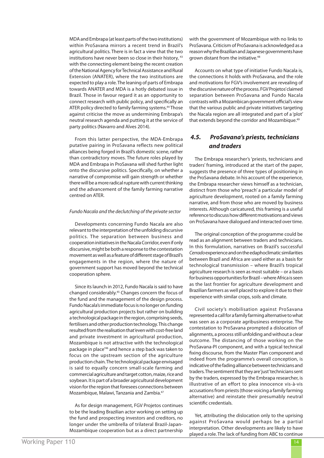MDA and Embrapa (at least parts of the two institutions) within ProSavana mirrors a recent trend in Brazil's agricultural politics. There is in fact a view that the two institutions have never been so close in their history, 43 with the connecting element being the recent creation of the National Agency for Technical Assistance and Rural Extension (ANATER), where the two institutions are expected to play a role. The leaning of parts of Embrapa towards ANATER and MDA is a hotly debated issue in Brazil. Those in favour regard it as an opportunity to connect research with public policy, and specifically an ATER policy directed to family farming systems.<sup>44</sup> Those against criticise the move as undermining Embrapa's neutral research agenda and putting it at the service of party politics (Navarro and Alves 2014).

From this latter perspective, the MDA-Embrapa putative pairing in ProSavana reflects new political alliances being forged in Brazil's domestic scene, rather than contradictory moves. The future roles played by MDA and Embrapa in ProSavana will shed further light onto the discursive politics. Specifically, on whether a narrative of compromise will gain strength or whether there will be a more radical rupture with current thinking and the advancement of the family farming narrative centred on ATER.

#### *Fundo Nacala and the declutching of the private sector*

Developments concerning Fundo Nacala are also relevant to the interpretation of the unfolding discursive politics. The separation between business and cooperation initiatives in the Nacala Corridor, even if only discursive, might be both a response to the contestation movement as well as a feature of different stage of Brazil's engagements in the region, where the nature of government support has moved beyond the technical cooperation sphere.

Since its launch in 2012, Fundo Nacala is said to have changed considerably.45 Changes concern the focus of the fund and the management of the design process. Fundo Nacala's immediate focus is no longer on funding agricultural production projects but rather on building a technological package in the region, comprising seeds, fertilisers and other production technology. This change resulted from the realisation that 'even with cost-free land and private investment in agricultural production, Mozambique is not attractive with the technological package in place'46 and hence a step back was taken to focus on the upstream section of the agriculture production chain. The technological package envisaged is said to equally concern small-scale farming and commercial agriculture and target cotton, maize, rice and soybean. It is part of a broader agricultural development vision for the region that foresees connections between Mozambique, Malawi, Tanzania and Zambia.47

As for design management, FGV Projetos continues to be the leading Brazilian actor working on setting up the fund and prospecting investors and creditors, no longer under the umbrella of trilateral Brazil-Japan-Mozambique cooperation but as a direct partnership with the government of Mozambique with no links to ProSavana. Criticism of ProSavana is acknowledged as a reason why the Brazilian and Japanese governments have grown distant from the initiative.<sup>48</sup>

Accounts on what type of initiative Fundo Nacala is, the connections it holds with ProSavana, and the role and motivations for FGV's involvement are revealing of the discursive nature of the process. FGV Projetos' claimed separation between ProSavana and Fundo Nacala contrasts with a Mozambican government official's view that the various public and private initiatives targeting the Nacala region are all integrated and part of a 'plot' that extends beyond the corridor and Mozambique.<sup>49</sup>

## *4.5. ProSavana's priests, technicians and traders*

The Embrapa researcher's 'priests, technicians and traders' framing, introduced at the start of the paper, suggests the presence of three types of positioning in the ProSavana debate. In his account of the experience, the Embrapa researcher views himself as a technician, distinct from those who 'preach' a particular model of agriculture development, rooted on a family farming narrative, and from those who are moved by business interests. Although caricatured, this framing is a useful reference to discuss how different motivations and views on ProSavana have dialogued and interacted over time.

The original conception of the programme could be read as an alignment between traders and technicians. In this formulation, narratives on Brazil's successful *Cerrado* experience and on the edaphoclimatic similarities between Brazil and Africa are used either as a basis for technological transmission – where Brazil's tropical agriculture research is seen as most suitable – or a basis for business opportunities for Brazil – where Africa is seen as the last frontier for agriculture development and Brazilian farmers as well placed to explore it due to their experience with similar crops, soils and climate.

Civil society's mobilisation against ProSavana represented a call for a family farming alternative to what was seen as a corporate agribusiness enterprise. The contestation to ProSavana prompted a dislocation of alignments, a process still unfolding and without a clear outcome. The distancing of those working on the ProSavana-PI component, and with a typical technical fixing discourse, from the Master Plan component and indeed from the programme's overall conception, is indicative of the fading alliance between technicians and traders. The sentiment that they are 'just' technicians sent by the traders, expressed by the Embrapa researcher, is illustrative of an effort to plea innocence vis-à-vis accusations from priests (those voicing a family farming alternative) and reinstate their presumably neutral scientific credentials.

Yet, attributing the dislocation only to the uprising against ProSavana would perhaps be a partial interpretation. Other developments are likely to have played a role. The lack of funding from ABC to continue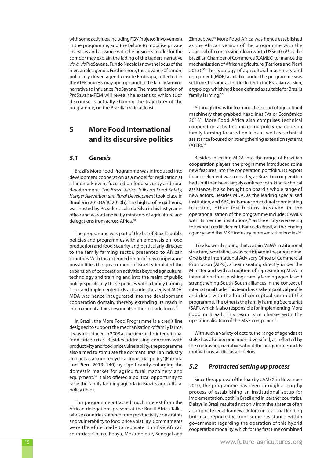with some activities, including FGV Projetos' involvement in the programme, and the failure to mobilise private investors and advance with the business model for the corridor may explain the fading of the traders' narrative *vis-à-vis* ProSavana. Fundo Nacala is now the locus of the mercantile agenda. Furthermore, the advance of a more politically driven agenda inside Embrapa, reflected in the ATER process, may open ground for the family farming narrative to influence ProSavana. The materialisation of ProSavana-PEM will reveal the extent to which such discourse is actually shaping the trajectory of the programme, on the Brazilian side at least.

## **5 More Food International and its discursive politics**

## *5.1 Genesis*

Brazil's More Food Programme was introduced into development cooperation as a model for replication at a landmark event focused on food security and rural development. *The Brazil-Africa Talks on Food Safety, Hunger Alleviation and Rural Development* took place in Brasília in 2010 (ABC 2010b). This high profile gathering was hosted by President Lula da Silva in his last year in office and was attended by ministers of agriculture and delegations from across Africa.<sup>50</sup>

The programme was part of the list of Brazil's public policies and programmes with an emphasis on food production and food security and particularly directed to the family farming sector, presented to African countries. With this extended menu of new cooperation possibilities the government of Brazil stimulated the expansion of cooperation activities beyond agricultural technology and training and into the realm of public policy, specifically those policies with a family farming focus and implemented in Brazil under the aegis of MDA. MDA was hence inaugurated into the development cooperation domain, thereby extending its reach in international affairs beyond its hitherto trade focus.<sup>51</sup>

In Brazil, the More Food Programme is a credit line designed to support the mechanisation of family farms. It was introduced in 2008 at the time of the international food price crisis. Besides addressing concerns with productivity and food price vulnerability, the programme also aimed to stimulate the dormant Brazilian industry and act as a 'countercyclical industrial policy' (Patriota and Pierri 2013: 140) by significantly enlarging the domestic market for agricultural machinery and equipment.52 It also offered a political opportunity to raise the family farming agenda in Brazil's agricultural policy (Ibid).

This programme attracted much interest from the African delegations present at the Brazil-Africa Talks, whose countries suffered from productivity constraints and vulnerability to food price volatility. Commitments were therefore made to replicate it in five African countries: Ghana, Kenya, Mozambique, Senegal and Zimbabwe.53 More Food Africa was hence established as the African version of the programme with the approval of a concessional loan worth US\$640m<sup>54</sup> by the Brazilian Chamber of Commerce (CAMEX) to finance the mechanisation of African agriculture (Patriota and Pierri 2013).55 The typology of agricultural machinery and equipment (M&E) available under the programme was set to be the same as that included in the Brazilian version, a typology which had been defined as suitable for Brazil's family farming.<sup>56</sup>

Although it was the loan and the export of agricultural machinery that grabbed headlines (Valor Econômico 2013), More Food Africa also comprises technical cooperation activities, including policy dialogue on family farming-focused policies as well as technical assistance focused on strengthening extension systems  $(ATER).<sup>57</sup>$ 

Besides inserting MDA into the range of Brazilian cooperation players, the programme introduced some new features into the cooperation portfolio. Its export finance element was a novelty, as Brazilian cooperation had until then been largely confined to in-kind technical assistance. It also brought on board a whole range of new actors. Besides MDA, as the leading specialised institution, and ABC, in its more procedural coordinating function, other institutions involved in the operationalisation of the programme include: CAMEX with its member institutions,<sup>58</sup> as the entity overseeing the export credit element; Banco do Brasil, as the lending agency; and the M&E industry representative bodies.<sup>59</sup>

It is also worth noting that, within MDA's institutional structure, two distinct areas participate in the programme. One is the International Advisory Office of Commercial Promotion (AIPC), a team seating directly under the Minister and with a tradition of representing MDA in international fora, pushing a family farming agenda and strengthening South-South alliances in the context of international trade. This team has a salient political profile and deals with the broad conceptualisation of the programme. The other is the Family Farming Secretariat (SAF), which is also responsible for implementing More Food in Brazil. This team is in charge with the operationalisation of the M&E component.

With such a variety of actors, the range of agendas at stake has also become more diversified, as reflected by the contrasting narratives about the programme and its motivations, as discussed below.

## *5.2 Protracted setting up process*

Since the approval of the loan by CAMEX, in November 2010, the programme has been through a lengthy process of establishing an institutional setup for implementation, both in Brazil and in partner countries. Delays in Brazil resulted not only from the absence of an appropriate legal framework for concessional lending but also, reportedly, from some resistance within government regarding the operation of this hybrid cooperation modality, which for the first time combined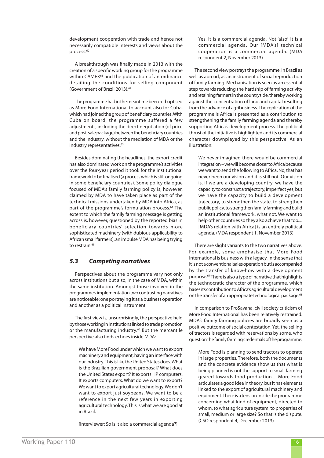development cooperation with trade and hence not necessarily compatible interests and views about the process.<sup>60</sup>

A breakthrough was finally made in 2013 with the creation of a specific working group for the programme within CAMEX<sup>61</sup> and the publication of an ordinance detailing the conditions for selling component (Government of Brazil 2013).<sup>62</sup>

The programme had in the meantime been re-baptised as More Food International to account also for Cuba, which had joined the group of beneficiary countries. With Cuba on board, the programme suffered a few adjustments, including the direct negotiation (of price and post-sale package) between the beneficiary countries and the industry, without the mediation of MDA or the industry representatives.<sup>63</sup>

Besides dominating the headlines, the export credit has also dominated work on the programme's activities over the four-year period it took for the institutional framework to be finalised (a process which is still ongoing in some beneficiary countries). Some policy dialogue focused of MDA's family farming policy is, however, claimed by MDA to have taken place as part of the technical missions undertaken by MDA into Africa, as part of the programme's formulation process.<sup>64</sup> The extent to which the family farming message is getting across is, however, questioned by the reported bias in beneficiary countries' selection towards more sophisticated machinery (with dubious applicability to African small farmers), an impulse MDA has being trying to restrain.<sup>65</sup>

## *5.3 Competing narratives*

Perspectives about the programme vary not only across institutions but also, in the case of MDA, within the same institution. Amongst those involved in the programme's implementation two contrasting narratives are noticeable: one portraying it as a business operation and another as a political instrument.

The first view is, unsurprisingly, the perspective held by those working in institutions linked to trade promotion or the manufacturing industry.<sup>66</sup> But the mercantile perspective also finds echoes inside MDA:

We have More Food under which we want to export machinery and equipment, having an interface with our industry. This is like the United States does. What is the Brazilian government proposal? What does the United States export? It exports HP computers. It exports computers. What do we want to export? We want to export agricultural technology. We don't want to export just soybeans. We want to be a reference in the next few years in exporting agricultural technology. This is what we are good at in Brazil.

[Interviewer: So is it also a commercial agenda?]

Yes, it is a commercial agenda. Not 'also', it is a commercial agenda. Our [MDA's] technical cooperation is a commercial agenda. (MDA respondent 2, November 2013)

The second view portrays the programme, in Brazil as well as abroad, as an instrument of social reproduction of family farming. Mechanisation is seen as an essential step towards reducing the hardship of farming activity and retaining farmers in the countryside, thereby working against the concentration of land and capital resulting from the advance of agribusiness. The replication of the programme is Africa is presented as a contribution to strengthening the family farming agenda and thereby supporting Africa's development process. The political thrust of the initiative is highlighted and its commercial character downplayed by this perspective. As an illustration:

We never imagined there would be commercial integration – we will become closer to Africa because we want to send the following to Africa. No, that has never been our vision and it is still not. Our vision is, if we are a developing country, we have the capacity to construct a trajectory, imperfect yes, but we have the capacity to build a development trajectory, to strengthen the state, to strengthen public policy, to strengthen family farming and build an institutional framework, what not. We want to help other countries so they also achieve that too.... [MDA's relation with Africa] is an entirely political agenda. (MDA respondent 1, November 2013)

There are slight variants to the two narratives above. For example, some emphasise that More Food International is business with a legacy, in the sense that it is not a conventional sales operation but is accompanied by the transfer of know-how with a development purpose.67 There is also a type of narrative that highlights the technocratic character of the programme, which bases its contribution to Africa's agricultural development on the transfer of an appropriate technological package.<sup>68</sup>

In comparison to ProSavana, civil society criticism of More Food International has been relatively restrained. MDA's family farming policies are broadly seen as a positive outcome of social contestation. Yet, the selling of tractors is regarded with reservations by some, who question the family farming credentials of the programme:

More Food is planning to send tractors to operate in large properties. Therefore, both the documents and the concrete evidence show us that what is being planned is not the support to small farming geared towards food production.... More Food articulates a good idea in theory, but it has elements linked to the export of agricultural machinery and equipment. There is a tension inside the programme concerning what kind of equipment, directed to whom, to what agriculture system, to properties of small, medium or large size? So that is the dispute. (CSO respondent 4, December 2013)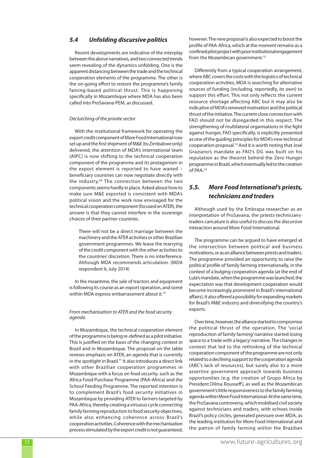## *5.4 Unfolding discursive politics*

Recent developments are indicative of the interplay between the above narratives, and two connected trends seem revealing of the dynamics unfolding. One is the apparent distancing between the trade and the technical cooperation elements of the programme. The other is the on-going effort to restore the programme's family faming-based political thrust. This is happening specifically in Mozambique where MDA has also been called into ProSavana-PEM, as discussed.

#### *Declutching of the private sector*

With the institutional framework for operating the export credit component of More Food International now set up and the first shipment of M&E (to Zimbabwe only) delivered, the attention of MDA's international team (AIPC) is now shifting to the technical cooperation component of the programme and its protagonism in the export element is reported to have waned – beneficiary countries can now negotiate directly with the industry.69 The connection between the two components seems hardly in place. Asked about how to make sure M&E exported is consistent with MDA's political vision and the work now envisaged for the technical cooperation component (focused on ATER), the answer is that they cannot interfere in the sovereign choices of their partner countries.

There will not be a direct marriage between the machinery and the ATER activities or other Brazilian government programmes. We leave the marrying of the credit component with the other activities to the countries' discretion. There is no interference. Although MDA recommends articulation. (MDA respondent 6, July 2014)

In the meantime, the sale of tractors and equipment is following its course as an export operation, and some within MDA express embarrassment about it.<sup>70</sup>

#### *From mechanisation to ATER and the food security agenda*

In Mozambique, the technical cooperation element of the programme is being re-defined as a pilot initiative. This is justified on the basis of the changing context in Brazil and in Mozambique. The proposal on the table renews emphasis on ATER, an agenda that is currently in the spotlight in Brazil.<sup>71</sup> It also introduces a direct link with other Brazilian cooperation programmes in Mozambique with a focus on food security, such as the Africa Food Purchase Programme (PAA-Africa) and the School Feeding Programme. The reported intention is to complement Brazil's food security initiatives in Mozambique by providing ATER to farmers targeted by PAA-Africa, thereby creating a virtuous cycle connecting family farming reproduction to food security objectives, while also enhancing coherence across Brazil's cooperation activities. Coherence with the mechanisation process stimulated by the export credit is not guaranteed, however. The new proposal is also expected to boost the profile of PAA-Africa, which at the moment remains as a confined pilot project with poor institutional engagement from the Mozambican government.<sup>72</sup>

Differently from a typical cooperation arrangement, where ABC covers the costs with the logistics of technical cooperation activities, MDA is searching for alternative sources of funding (including, reportedly, its own) to support this effort. This not only reflects the current resource shortage affecting ABC but it may also be indicative of MDA's renewed motivation and the political thrust of the initiative. The current close connection with FAO should not be disregarded in this respect. The strengthening of multilateral organisations in the fight against hunger, FAO specifically, is explicitly presented as one of the guiding principles for MDA's new technical cooperation proposal.73 And it is worth noting that José Graziano's mandate as FAO's DG was built on his reputation as the theorist behind the Zero Hunger programme in Brazil, which eventually led to the creation of PAA.74

## *5.5. More Food International's priests, technicians and traders*

Although used by the Embrapa researcher as an interpretation of ProSavana, the priests-technicianstraders caricature is also useful to discuss the discursive interaction around More Food International.

The programme can be argued to have emerged at the intersection between political and business motivations, or as an alliance between priests and traders. The programme provided an opportunity to raise the political profile of family farming internationally, in the context of a bulging cooperation agenda (at the end of Lula's mandate, when the programme was launched, the expectation was that development cooperation would become increasingly prominent in Brazil's international affairs). It also offered a possibility for expanding markets for Brazil's M&E industry and diversifying the country's exports.

Over time, however, the alliance started to compromise the political thrust of the operation. The 'social reproduction of family farming' narrative started losing space to a 'trade with a legacy' narrative. The changes in context that led to the rethinking of the technical cooperation component of the programme are not only related to a declining support to the cooperation agenda (ABC's lack of resources), but surely also to a more assertive government approach towards business opportunities (e.g. the creation of Grupo Africa by President Dilma Rousseff ), as well as the Mozambican government's little responsiveness to the family farming agenda within More Food International. At the same time, the ProSavana controversy, which mobilised civil society against technicians and traders, with echoes inside Brazil's policy circles, generated pressure over MDA, as the leading institution for More Food International and the patron of family farming within the Brazilian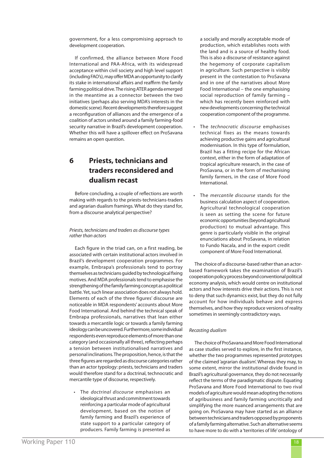government, for a less compromising approach to development cooperation.

If confirmed, the alliance between More Food International and PAA-Africa, with its widespread acceptance within civil society and high level support (including FAO's), may offer MDA an opportunity to clarify its stake in international affairs and reaffirm the family farming political drive. The rising ATER agenda emerged in the meantime as a connector between the two initiatives (perhaps also serving MDA's interests in the domestic scene). Recent developments therefore suggest a reconfiguration of alliances and the emergence of a coalition of actors united around a family farming-food security narrative in Brazil's development cooperation. Whether this will have a spillover effect on ProSavana remains an open question.

# **6 Priests, technicians and traders reconsidered and dualism recast**

Before concluding, a couple of reflections are worth making with regards to the priests-technicians-traders and agrarian dualism framings. What do they stand for, from a discourse analytical perspective?

#### *Priests, technicians and traders as discourse types rather than actors*

Each figure in the triad can, on a first reading, be associated with certain institutional actors involved in Brazil's development cooperation programmes. For example, Embrapa's professionals tend to portray themselves as technicians guided by technological fixing motives. And MDA professionals tend to emphasise the strengthening of the family farming concept as a political battle. Yet, such linear association does not always hold. Elements of each of the three figures' discourse are noticeable in MDA respondents' accounts about More Food International. And behind the technical speak of Embrapa professionals, narratives that lean either towards a mercantile logic or towards a family farming ideology can be uncovered. Furthermore, some individual respondents even reproduce elements of more than one category (and occasionally all three), reflecting perhaps a tension between institutionalised narratives and personal inclinations. The proposition, hence, is that the three figures are regarded as discourse categories rather than an actor typology: priests, technicians and traders would therefore stand for a doctrinal, technocratic and mercantile type of discourse, respectively.

The *doctrinal discourse* emphasises an ideological thrust and commitment towards reinforcing a particular mode of agricultural development, based on the notion of family farming and Brazil's experience of state support to a particular category of producers. Family farming is presented as

a socially and morally acceptable mode of production, which establishes roots with the land and is a source of healthy food. This is also a discourse of resistance against the hegemony of corporate capitalism in agriculture. Such perspective is visibly present in the contestation to ProSavana and in one of the narratives about More Food International – the one emphasising social reproduction of family farming – which has recently been reinforced with new developments concerning the technical cooperation component of the programme.

- • The *technocratic discourse* emphasises technical fixes as the means towards achieving productive gains and agricultural modernisation. In this type of formulation, Brazil has a fitting recipe for the African context, either in the form of adaptation of tropical agriculture research, in the case of ProSavana, or in the form of mechanising family farmers, in the case of More Food International.
- The *mercantile discourse* stands for the business calculation aspect of cooperation. Agricultural technological cooperation is seen as setting the scene for future economic opportunities (beyond agricultural production) to mutual advantage. This genre is particularly visible in the original enunciations about ProSavana, in relation to Fundo Nacala, and in the export credit component of More Food International.

The choice of a discourse-based rather than an actorbased framework takes the examination of Brazil's cooperation policy process beyond conventional political economy analysis, which would centre on institutional actors and how interests drive their actions. This is not to deny that such dynamics exist, but they do not fully account for how individuals behave and express themselves, and how they reproduce versions of reality sometimes in seemingly contradictory ways.

#### *Recasting dualism*

The choice of ProSavana and More Food International as case studies served to explore, in the first instance, whether the two programmes represented prototypes of the claimed 'agrarian dualism'. Whereas they may, to some extent, mirror the institutional divide found in Brazil's agricultural governance, they do not necessarily reflect the terms of the paradigmatic dispute. Equating ProSavana and More Food International to two rival models of agriculture would mean adopting the notions of agribusiness and family farming uncritically and simplifying the more nuanced arrangements that are going on. ProSavana may have started as an alliance between technicians and traders opposed by proponents of a family farming alternative. Such an alternative seems to have more to do with a 'territories of life' ontology of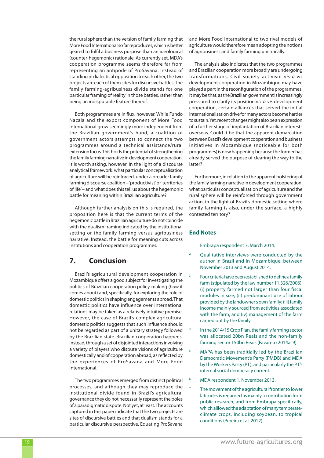the rural sphere than the version of family farming that More Food International so far reproduces, which is better geared to fulfil a business purpose than an ideological (counter-hegemonic) rationale. As currently set, MDA's cooperation programme seems therefore far from representing an antipode of ProSavana. Instead of standing in dialectical opposition to each other, the two projects are each of them sites for discursive battles. The family farming-agribusiness divide stands for one particular framing of reality in those battles, rather than being an indisputable feature thereof.

Both programmes are in flux, however. While Fundo Nacala and the export component of More Food International grow seemingly more independent from the Brazilian government's hand, a coalition of government actors attempts to connect the two programmes around a technical assistance/rural extension focus. This holds the potential of strengthening the family farming narrative in development cooperation. It is worth asking, however, in the light of a discourse analytical framework: what particular conceptualisation of agriculture will be reinforced, under a broader family farming discourse coalition – 'productivist' or 'territories of life' – and what does this tell us about the hegemonic battle for meaning within Brazilian agriculture?

Although further analysis on this is required, the proposition here is that the current terms of the hegemonic battle in Brazilian agriculture do not coincide with the dualism framing indicated by the institutional setting or the family farming versus agribusiness narrative. Instead, the battle for meaning cuts across institutions and cooperation programmes.

## **7. Conclusion**

Brazil's agricultural development cooperation in Mozambique offers a good subject for investigating the politics of Brazilian cooperation policy-making (*how* it comes about) and, specifically, for exploring the role of domestic politics in shaping engagements abroad. That domestic politics have influence over international relations may be taken as a relatively intuitive premise. However, the case of Brazil's complex agricultural domestic politics suggests that such influence should not be regarded as part of a unitary strategy followed by the Brazilian state. Brazilian cooperation happens, instead, through a set of disjointed interactions involving a variety of players who dispute visions of agriculture domestically and of cooperation abroad, as reflected by the experiences of ProSavana and More Food International.

The two programmes emerged from distinct political processes, and although they may reproduce the institutional divide found in Brazil's agricultural governance they do not necessarily represent the poles of a paradigmatic dispute. Not yet, at least. The accounts captured in this paper indicate that the two projects are sites of discursive battles and that dualism stands for a particular discursive perspective. Equating ProSavana and More Food International to two rival models of agriculture would therefore mean adopting the notions of agribusiness and family farming uncritically.

The analysis also indicates that the two programmes and Brazilian cooperation more broadly are undergoing transformations. Civil society activism *vis-à-vis*  development cooperation in Mozambique may have played a part in the reconfiguration of the programmes. It may be that, as the Brazilian government is increasingly pressured to clarify its position *vis-à-vis* development cooperation, certain alliances that served the initial internationalisation drive for many actors become harder to sustain. Yet, recent changes might also be an expression of a further stage of implantation of Brazilian interests overseas. Could it be that the apparent demarcation between Brazil's development cooperation and business initiatives in Mozambique (noticeable for both programmes) is now happening because the former has already served the purpose of clearing the way to the latter?

Furthermore, in relation to the apparent bolstering of the family farming narrative in development cooperation: what particular conceptualisation of agriculture and the rural sphere will be reinforced through government action, in the light of Brazil's domestic setting where family farming is also, under the surface, a highly contested territory?

## **End Notes**

- Embrapa respondent 7, March 2014.
- <sup>2</sup> Qualitative interviews were conducted by the author in Brazil and in Mozambique, between November 2013 and August 2014.
- <sup>3</sup> Four criteria have been established to define a family farm (stipulated by the law number 11.326/2006): (i) property farmed not larger than four fiscal modules in size; (ii) predominant use of labour provided by the landowner's own family; (iii) family income mainly sourced from activities associated with the farm; and (iv) management of the farm carried out by the family.
- In the 2014/15 Crop Plan, the family farming sector was allocated 20bn Reais and the non-family farming sector 150bn Reais (Favareto 2014a: 9).
- <sup>5</sup> MAPA has been traditially led by the Brazilian Democratic Movement's Party (PMDB) and MDA by the Workers Party (PT), and particularly the PT's internal social democracy current.
- <sup>6</sup> MDA respondent 1, November 2013.
	- <sup>7</sup> The movement of the agricultural frontier to lower latitudes is regarded as mainly a contribution from public research, and from Embrapa specifically, which alllowed the adaptation of many temperateclimate crops, including soybean, to tropical conditions (Pereira et al. 2012)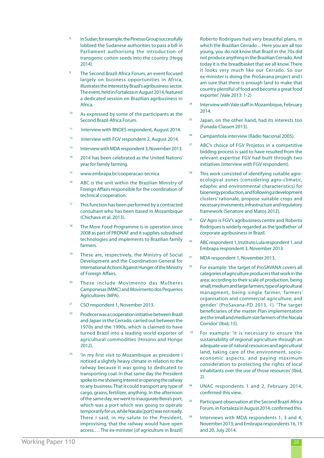- In Sudan, for example, the Pinesso Group successfully lobbied the Sudanese authorities to pass a bill in Parliament authorising the introduction of transgenic cotton seeds into the country (Hegg 2014).
- The Second Brazil-Africa Forum, an event focused largely on business opportunities in Africa, illustrates the interest by Brazil's agribusiness sector. The event, held in Fortaleza in August 2014, featured a dedicated session on Brazilian agribusiness in Africa.
- <sup>10</sup> As expressed by some of the participants at the Second Brazil-Africa Forum.
- <sup>11</sup> Interview with BNDES respondent, August 2014.
- <sup>12</sup> Interview with FGV respondent 2, August 2014.
- <sup>13</sup> Interview with MDA respondent 3, November 2013.
- <sup>14</sup> 2014 has been celebrated as the United Nations' year for family farming.
- <sup>15</sup> www.embrapa.br/cooperacao-tecnica
- <sup>16</sup> ABC is the unit within the Brazilian Ministry of Foreign Affairs responsible for the coordination of technical cooperation.
- <sup>17</sup> This function has been performed by a contracted consultant who has been based in Mozambique (Chichava et al. 2013).
- <sup>18</sup> The More Food Programme is in operation since 2008 as part of PRONAF and it supplies subsidised technologies and implements to Brazilian family farmers.
- <sup>19</sup> These are, respectively, the Ministry of Social Development and the Coordination-General for International Actions Against Hunger of the Ministry of Foreign Affairs.
- <sup>20</sup> These include Movimento das Mulheres Camponesas (MMC) and Movimento dos Pequenos Agricultores (MPA).
- <sup>21</sup> CSO respondent 1, November 2013.
- <sup>22</sup> Prodecer was a cooperation initiative between Brazil and Japan in the Cerrado, carried out between the 1970s and the 1990s, which is claimed to have turned Brazil into a leading world exporter of agricultural commodities (Hosono and Hongo 2012).
- <sup>23</sup> 'In my first visit to Mozambique as president I noticed a slightly heavy climate in relation to the railway because it was going to dedicated to transporting coal. In that same day the President spoke to me showing interest in opening the railway to any business. That it could transport any type of cargo, grains, fertilizer, anything. In the afternoon of the same day, we went to inaugurate Beira's port, which was a port which was going to operate temporarily for us, while Nacala [port] was not ready. There I said, in my salute to the President, improvising, that the railway would have open access.… The ex-minister [of agriculture in Brazil]

Roberto Rodrigues had very beautiful plans, in which the Brazilian Cerrado ... Here you are all too young, you do not know that Brazil in the 70s did not produce anything in the Brazilian Cerrado. And today it is the breadbasket that we all know. There it looks very much like our Cerrado. So our ex-minister is doing the ProSavana project and I am sure that there is enough land to make that country plentiful of food and become a great food exporter.' (Vale 2013: 1-2)

- <sup>24</sup> Interview with Vale staff in Mozambique, February 2014.
- $25$  Japan, on the other hand, had its interests too (Funada-Classen 2013).
- <sup>26</sup> Campanhola interview (Rádio Nacional 2005).
- <sup>27</sup> ABC's choice of FGV Projetos in a competitive bidding process is said to have resulted from the relevant expertise FGV had built through two initiatives (interview with FGV respondent).
- <sup>28</sup> This work consisted of identifying suitable agroecological zones (considering agro-climatic, edaphic and environmental characteristics) for bioenergy production, and following a 'development clusters' rationale, propose suitable crops and necessary invesments, infrastructure and regulatory framework (Senatore and Matos 2012).
- <sup>29</sup> GV Agro is FGV's agribusiness centre and Roberto Rodrigues is widerly regarded as the 'godfather' of corporate agribusiness in Brazil.
- <sup>30</sup> ABC respondent 1, Instituto Lula respondent 1, and Embrapa respondent 3, November 2013.
- <sup>31</sup> MDA respondent 1, November 2013.
- <sup>32</sup> For example: 'the target of ProSAVANA covers all categories of agriculture producers that work in the area: according to their scale of production, being small, medium and large farmers; type of agricultural managment, being single farmer, farmers' organisation and commercial agriculture; and gender' (ProSavana-PD 2013, 1). 'The target beneficiaries of the master Plan implementation are the small and medium size farmers of the Nacala Corridor' (Ibid, 15).
- <sup>33</sup> For example: 'it is necessary to ensure the sustainability of regional agriculture through an adequate use of natural resources and agricultural land, taking care of the environment, socioeconomic aspects, and paying maximum consideration to protecting the rights of local inhabitants over the use of those resources' (Ibid, 2).
- <sup>34</sup> UNAC respondents 1 and 2, February 2014, confirmed this view.
- <sup>35</sup> Participant observation at the Second Brazil-Africa Forum, in Fortaleza in August 2014, confirmed this.
- <sup>36</sup> Interviews with MDA respondents 1, 3 and 4, November 2013; and Embrapa respondents 16, 19 and 20, July 2014.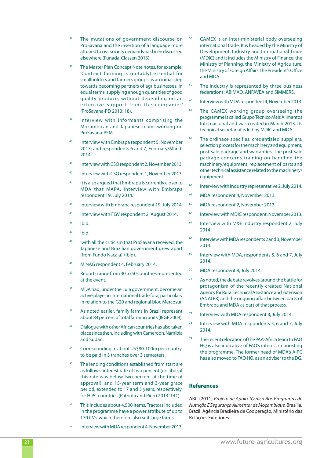- The mutations of government discourse on ProSavana and the insertion of a language more attuned to civil society demands has been discussed elsewhere (Funada-Classen 2013).
- <sup>38</sup> The Master Plan Concept Note notes, for example: 'Contract farming is (notably) essential for smallholders and farmers groups as an initial step towards becoming partners of agribusinesses, in equal terms, supplying enough quantities of good quality produce, without depending on an extensive support from the companies' (ProSavana-PD 2013: 18).
- <sup>39</sup> Interview with informants comprising the Mozambican and Japanese teams working on ProSavana-PEM.
- <sup>40</sup> Interview with Embrapa respondent 5, November 2013; and respondents 6 and 7, February/March 2014.
- <sup>41</sup> Interview with CSO respondent 2, November 2013.
- <sup>42</sup> Interview with CSO respondent 1, November 2013.
- <sup>43</sup> It is also argued that Embrapa is currently closer to MDA that MAPA. Interview with Embrapa respondent 19, July 2014.
- <sup>44</sup> Interview with Embrapa respondent 19, July 2014.
- 45 Interview with FGV respondent 2, August 2014.
- <sup>46</sup> Ibid.
- $47$  Ibid.
- <sup>48</sup> 'with all the criticism that ProSavana received, the Japanese and Brazilian government grew apart [from Fundo Nacala]' (Ibid).
- <sup>49</sup> MINAG respondent 4, February 2014.
- <sup>50</sup> Reports range from 40 to 50 countries represented at the event.
- <sup>51</sup> MDA had, under the Lula government, become an active player in international trade fora, particulary in relation to the G20 and regional bloc Mercosur.
- <sup>52</sup> As noted earlier, family farms in Brazil represent about 84 percent of total farming units (IBGE 2009).
- <sup>53</sup> Dialogue with other African countries has also taken place since then, including with Cameroon, Namibia and Sudan.
- <sup>54</sup> Corresponding to about US\$80-100m per country, to be paid in 3 tranches over 3 semesters.
- The lending conditions established from start are as follows: interest rate of two percent (or Libor, if this rate was below two percent at the time of approval); and 15-year term and 3-year grace period, extended to 17 and 5 years, respectively, for HIPC countries (Patriota and Pierri 2013: 141).
- <sup>56</sup> This includes about 4,500 items. Tractors included in the programme have a power attribute of up to 170 CVs, which therefore also suit large farms.
- Interview with MDA respondent 4, November 2013.
- CAMEX is an inter-ministerial body overseeing international trade. It is headed by the Ministry of Development, Industry and International Trade (MDIC) and it includes the Ministry of Finance, the Ministry of Planning, the Ministry of Agriculture, the Ministry of Foreign Affairs, the President's Office and MDA.
- <sup>59</sup> The industry is represented by three business federations: ABIMAQ, ANFAVEA and SIMMERS.
- $60$  Interview with MDA respondent 4, November 2013.
- <sup>61</sup> The CAMEX working group overseeing the programme is called Grupo Técnico Mais Alimentos Internacional and was created in March 2013. Its technical secretariat is led by MDIC and MDA.
- $62$  The ordinace specifies: credentialed suppliers, selection process for the machinery and equipment, post-sale package and warranties. The post-sale package concerns training on handling the machinery/equipment, replacement of parts and other technical assistance related to the machinery/ equipment.
- <sup>63</sup> Interview with industry representative 2, July 2014.
- <sup>64</sup> MDA respondent 4, November 2013.
- <sup>65</sup> MDA respondent 2, November 2013.
- <sup>66</sup> Interview with MDIC respondent, November 2013.
- <sup>67</sup> Interview with M&E industry respondent 2, July 2014.
- <sup>68</sup> Interview with MDA respondents 2 and 3, November 2014.
- <sup>69</sup> Interview with MDA, respondents 5, 6 and 7, July 2014.
- <sup>70</sup> MDA respondent 8, July 2014.
- <sup>71</sup> As noted, the debate revolves around the battle for protagonism of the recently created National Agency for Rural Technical Assistance and Extension (ANATER) and the ongoing affair between parts of Embrapa and MDA as part of that process.
- <sup>72</sup> Interview with MDA respondent 8, July 2014.
- $73$  Interview with MDA respondents 5, 6 and 7, July 2014.
- <sup>74</sup> The recent relocation of the PAA-Africa team to FAO HQ is also indicative of FAO's interest in boosting the programme. The former head of MDA's AIPC has also moved to FAO HQ, as an adviser to the DG.

#### **References**

ABC (2011) *Projeto de Apoio Técnico Aos Programas de Nutrição E Segurança Alimentar de Moçambique,* Brasília, Brazil: Agência Brasileira de Cooperação, Ministério das Relações Exteriores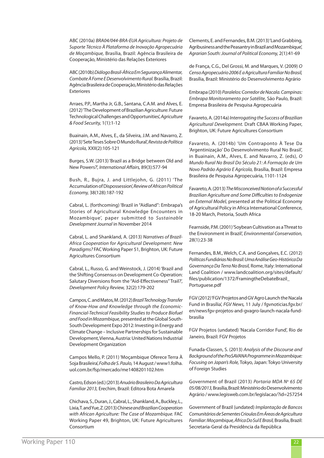ABC (2010a) *BRA04/044-BRA-EUA Agricultura: Projeto de Suporte Técnico À Plataforma de Inovação Agropecuária de Moçambique,* Brasília, Brazil: Agência Brasileira de Cooperação, Ministério das Relações Exteriores

ABC (2010b) *Diálogo Brasil-África Em Segurança Alimentar, Combate À Fome E Desenvolvimento Rural.* Brasília, Brazil: Agência Brasileira de Cooperação, Ministério das Relações Exteriores

Arraes, P.P., Martha Jr, G.B., Santana, C.A.M. and Alves, E. (2012) 'The Development of Brazilian Agriculture: Future Technological Challenges and Opportunities', *Agriculture & Food Security,* 1(1):1-12

Buainain, A.M., Alves, E., da Silveira, J.M. and Navarro, Z. (2013) 'Sete Teses Sobre O Mundo Rural', *Revista de Política Agrícola,* XXII(2):105-121

Burges, S.W. (2013) 'Brazil as a Bridge between Old and New Powers?', *International Affairs,* 89(3):577-94

Bush, R., Bujra, J. and Littlejohn, G. (2011) 'The Accumulation of Dispossession', *Review of African Political Economy,* 38(128):187-192

Cabral, L. (forthcoming) 'Brazil in "Aidland": Embrapa's Stories of Agricultural Knowledge Encounters in Mozambique', paper submitted to *Sustainable Development Journal* in November 2014

Cabral, L. and Shankland, A. (2013) *Narratives of Brazil-Africa Cooperation for Agricultural Development: New Paradigms?* FAC Working Paper 51, Brighton, UK: Future Agricultures Consortium

Cabral, L., Russo, G. and Weinstock, J. (2014) 'Brazil and the Shifting Consensus on Development Co-Operation: Salutary Diversions from the "Aid-Effectiveness" Trail?', *Development Policy Review,* 32(2):179-202

Campos, C. and Matos, M. (2012) *Brazil Technology Transfer of Know-How and Knowledge through the Economic-Financial-Technical Feasibility Studies to Produce Biofuel and Food in Mozambique,* presented at the Global South-South Development Expo 2012: Investing in Energy and Climate Change – Inclusive Partnerships for Sustainable Development, Vienna, Austria: United Nations Industrial Development Organization

Campos Mello, P. (2011) 'Moçambique Oferece Terra À Soja Brasileira', *Folha de S. Paulo,* 14 August / www1.folha. uol.com.br/fsp/mercado/me1408201102.htm

Castro, Edson (ed.) (2013) *Anuário Brasileiro Da Agricultura Familiar 2013,* Erechim, Brazil: Editora Bota Amarela

Chichava, S., Duran, J., Cabral, L., Shankland, A., Buckley, L., Lixia, T. and Yue, Z. (2013) *Chinese and Brazilian Cooperation with African Agriculture: The Case of Mozambique.* FAC Working Paper 49, Brighton, UK: Future Agricultures Consortium

Clements, E. and Fernandes, B.M. (2013) 'Land Grabbing, Agribusiness and the Peasantry in Brazil and Mozambique', *Agrarian South: Journal of Political Economy,* 2(1):41-69

de França, C.G., Del Grossi, M. and Marques, V. (2009) *O Censo Agropecuário 2006 E a Agricultura Familiar No Brasil,* Brasília, Brazil: Ministério do Desenvolvimento Agrário

Embrapa (2010) *Paralelos: Corredor de Nacala. Campinas: Embrapa Monitoramento por Satélite,* São Paulo, Brazil: Empresa Brasileira de Pesquisa Agropecuária

Favareto, A. (2014a) *Interrogating the Success of Brazilian Agricultural Development.* Draft CBAA Working Paper, Brighton, UK: Future Agricultures Consortium

Favareto, A. (2014b) 'Um Contraponto À Tese Da 'Argentinização' Do Desenvolvimento Rural No Brasil', in Buainain, A.M., Alves, E. and Navarro, Z. (eds), *O Mundo Rural No Brasil Do Século 21: A Formação de Um Novo Padrão Agrário E Agrícola,* Brasília, Brazil: Empresa Brasileira de Pesquisa Agropecuária, 1101-1124

Favareto, A. (2013) *The Misconceived Notion of a Successful Brazilian Agriculture and Some Difficulties to Endogenize an External Model,* presented at the Political Economy of Agricultural Policy in Africa International Conference, 18-20 March, Pretoria, South Africa

Fearnside, P.M. (2001) 'Soybean Cultivation as a Threat to the Environment in Brazil', *Environmental Conservation,*  28(1):23-38

Fernandes, B.M., Welch, C.A. and Gonçalves, E.C. (2012) *Políticas Fundiárias No Brasil: Uma Análise Geo-Histórica Da Governança Da Terra No Brasil,* Rome, Italy: International Land Coalition / www.landcoalition.org/sites/default/ files/publication/1372/FramingtheDebateBrazil\_ Portuguese.pdf

FGV (2012) 'FGV Projetos and GV Agro Launch the Nacala Fund in Brasília', *FGV News,* 11 July / fgvnoticias.fgv.br/ en/news fgv-projetos-and-gvagro-launch-nacala-fundbrasilia

FGV Projetos (undated) 'Nacala Corridor Fund', Rio de Janeiro, Brazil: FGV Projetos

Funada-Classen, S. (2013) *Analysis of the Discourse and Background of the ProSAVANA Programme in Mozambique: Focusing on Japan's Role,* Tokyo, Japan: Tokyo University of Foreign Studies

Government of Brazil (2013) *Portaria MDA No 65 DE 05/08/2013,* Brasília, Brazil: Ministério do Desenvolvimento Agrário / www.legisweb.com.br/legislacao/?id=257254

Government of Brazil (undated) *Implantação de Bancos Comunitários de Sementes Crioulas Em Áreas de Agricultura Familiar: Moçambique, África Do Sul E Brasil,* Brasília, Brazil: Secretaria-Geral da Presidência da República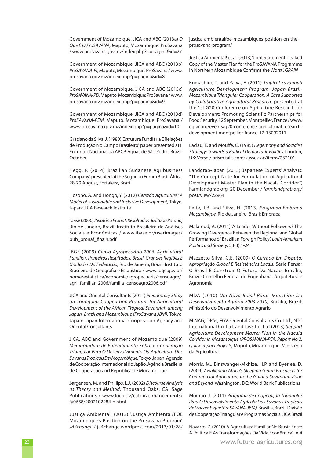Government of Mozambique, JICA and ABC (2013a) *O Que É O ProSAVANA,* Maputo, Mozambique: ProSavana / www.prosavana.gov.mz/index.php?p=pagina&id=27

Government of Mozambique, JICA and ABC (2013b) *ProSAVANA-PI,* Maputo, Mozambique: ProSavana / www. prosavana.gov.mz/index.php?p=pagina&id=8

Government of Mozambique, JICA and ABC (2013c) *ProSAVANA-PD,* Maputo, Mozambique: ProSavana / www. prosavana.gov.mz/index.php?p=pagina&id=9

Government of Mozambique, JICA and ABC (2013d) *ProSAVANA-PEM,* Maputo, Mozambique: ProSavana / www.prosavana.gov.mz/index.php?p=pagina&id=10

Graziano da Silva, J. (1980) 'Estrutura Fundiária E Relações de Produção No Campo Brasileiro', paper presented at II Encontro Nacional da ABCP. Águas de São Pedro, Brazil: October

Hegg, P. (2014) 'Brazilian Sudanese Agribusiness Company', presented at the Segundo Fórum Brasil-África, 28-29 August, Fortaleza, Brazil

Hosono, A. and Hongo, Y. (2012) *Cerrado Agriculture: A Model of Sustainable and Inclusive Development,* Tokyo, Japan: JICA Research Institute

Ibase (2006) *Relatório Pronaf: Resultados da Etapa Paraná,*  Rio de Janeiro, Brazil: Instituto Brasileiro de Análises Sociais e Econômicas / www.ibase.br/userimages/ pub\_pronaf\_final4.pdf

IBGE (2009) *Censo Agropecuário 2006. Agricultural Familiar. Primeiros Resultados: Brasil, Grandes Regiões E Unidades Da Federação,* Rio de Janeiro, Brazil: Instituto Brasileiro de Geografia e Estatística / www.ibge.gov.br/ home/estatistica/economia/agropecuaria/censoagro/ agri\_familiar\_2006/familia\_censoagro2006.pdf

JICA and Oriental Consultants (2011) *Preparatory Study on Triangular Cooperation Program for Agricultural Development of the African Tropical Savannah among Japan, Brazil and Mozambique (ProSavana JBM),* Tokyo, Japan: Japan International Cooperation Agency and Oriental Consultants

JICA, ABC and Government of Mozambique (2009) *Memorandum de Entendimento Sobre a Cooperação Triangular Para O Desenvolvimento Da Agricultura Das Savanas Tropicais Em Moçambique,* Tokyo, Japan: Agência de Cooperação Internacional do Japão, Agência Brasileira de Cooperação and República de Moçambique

Jørgensen, M. and Phillips, L.J. (2002) *Discourse Analysis as Theory and Method,* Thousand Oaks, CA: Sage Publications / www.loc.gov/catdir/enhancements/ fy0658/2002102284-d.html

Justiça Ambiental! (2013) 'Justiça Ambiental/FOE Mozambique's Position on the Prosavana Program', *JA4change* / ja4change.wordpress.com/2013/01/28/ justica-ambientalfoe-mozambiques-position-on-theprosavana-program/

Justiça Ambiental! et al. (2013) 'Joint Statement: Leaked Copy of the Master Plan for the ProSAVANA Programme in Northern Mozambique Confirms the Worst', *GRAIN*

Kumashiro, T. and Paiva, F. (2011) *Tropical Savannah Agriculture Development Program. Japan-Brazil-Mozambique Triangular Cooperation: A Case Supported by Collaborative Agricultural Research,* presented at the 1st G20 Conference on Agriculture Research for Development: Promoting Scientific Partnerships for Food Security, 12 September, Montpellier, France / www. egfar.org/events/g20-conference-agricultural-researchdevelopment-montpellier-france-12-13092011

Laclau, E. and Mouffe, C. (1985) *Hegemony and Socialist Strategy: Towards a Radical Democratic Politics,* London, UK: Verso / prism.talis.com/sussex-ac/items/232101

Landgrab-Japan (2013) 'Japanese Experts' Analysis: "The Concept Note for Formulation of Agricultural Development Master Plan in the Nacala Corridor"', Farmlandgrab.org, 20 December / *farmlandgrab.org/* post/view/22964

Leite, J.B. and Silva, H. (2013) *Programa Embrapa Moçambique,* Rio de Janeiro, Brazil: Embrapa

Malamud, A. (2011) 'A Leader Without Followers? The Growing Divergence Between the Regional and Global Performance of Brazilian Foreign Policy', *Latin American Politics and Society,* 53(3):1-24

Mazzetto Silva, C.E. (2009) *O Cerrado Em Disputa: Apropriação Global E Resistências Locais.* Série Pensar O Brasil E Construir O Futuro Da Nação, Brasília, Brazil: Conselho Federal de Engenharia, Arquitetura e Agronomia

MDA (2010) *Um Novo Brasil Rural. Ministério Do Desenvolvimento Agrário 2003-2010,* Brasília, Brazil: Ministério do Desenvolvimento Agrário

MINAG, DPAs, FGV, Oriental Consultants Co. Ltd., NTC International Co. Ltd. and Task Co. Ltd (2013) *Support Agriculture Development Master Plan in the Nacala Corridor in Mozambique (PROSAVANA-PD). Report No.2: Quick Impact Projects,* Maputo, Mozambique: Ministério da Agricultura

Morris, M., Binswanger-Mkhize, H.P. and Byerlee, D. (2009) *Awakening Africa's Sleeping Giant: Prospects for Commercial Agriculture in the Guinea Savannah Zone and Beyond,* Washington, DC: World Bank Publications

Mourão, J. (2011) *Programa de Cooperação Triangular Para O Desenvolvimento Agrícola Das Savanas Tropicais de Moçambique (ProSAVANA-JBM)*, Brasília, Brazil: Divisão de Cooperação Triangular e Programas Sociais, JICA Brazil

Navarro, Z. (2010) 'A Agricultura Familiar No Brasil: Entre A Política E As Transformações Da Vida Econômica', in *A*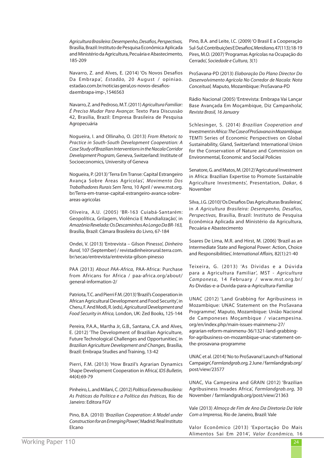*Agricultura Brasileira: Desempenho, Desafios, Perspectivas,* Brasília, Brazil: Instituto de Pesquisa Econômica Aplicada and Ministério da Agricultura, Pecuária e Abastecimento, 185-209

Navarro, Z. and Alves, E. (2014) 'Os Novos Desafios Da Embrapa', *Estadão,* 20 August / opiniao. estadao.com.br/noticiasgeral,os-novos-desafiosdaembrapa-imp-,1546563

Navarro, Z. and Pedroso, M.T. (2011) *Agricultura Familiar: É Preciso Mudar Para Avançar.* Texto Para Discussão 42, Brasília, Brazil: Empresa Brasileira de Pesquisa Agropecuária

Nogueira, I. and Ollinaho, O. (2013) *From Rhetoric to Practice in South-South Development Cooperation: A Case Study of Brazilian Interventions in the Nacala Corridor Development Program,* Geneva, Switzerland: Institute of Socioeconomics, University of Geneva

Nogueira, P. (2013) 'Terra Em Transe: Capital Estrangeiro Avança Sobre Áreas Agrícolas', *Movimento Dos Trabalhadores Rurais Sem Terra,* 10 April / www.mst.org. br/Terra-em-transe-capital-estrangeiro-avanca-sobreareas-agricolas

Oliveira, A.U. (2005) 'BR-163 Cuiabá-Santarém: Geopolítica, Grilagem, Violência E Mundialização', in *Amazônia Revelada: Os Descaminhos Ao Longo Da BR-163,* Brasília, Brazil: Câmara Brasileira do Livro, 67-184

Ondei, V. (2013) 'Entrevista – Gilson Pinesso', *Dinheiro Rural,* 107 (September) / revistadinheirorural.terra.com. br/secao/entrevista/entrevista-gilson-pinesso

PAA (2013) *About PAA-Africa,* PAA-Africa: Purchase from Africans for Africa / paa-africa.org/about/ general-information-2/

Patriota, T.C. and Pierri F.M. (2013) 'Brazil's Cooperation in African Agricultural Development and Food Security', in Cheru, F. And Modi, R. (eds), *Agricultural Development and Food Security in Africa,* London, UK: Zed Books, 125-144

Pereira, P.A.A., Martha Jr, G.B., Santana, C.A. and Alves, E. (2012) 'The Development of Brazilian Agriculture, Future Technological Challenges and Opportunities', in *Brazilian Agriculture Development and Changes,* Brasília, Brazil: Embrapa Studies and Training, 13-42

Pierri, F.M. (2013) 'How Brazil's Agrarian Dynamics Shape Development Cooperation in Africa', *IDS Bulletin,* 44(4):69-79

Pinheiro, L. and Milani, C. (2012) *Política Externa Brasileira: As Práticas da Política e a Política das Práticas,* Rio de Janeiro: Editora FGV

Pino, B.A. (2010) *'Brazilian Cooperation: A Model under Construction for an Emerging Power',* Madrid: Real Instituto Elcano

Pino, B.A. and Leite, I.C. (2009) 'O Brasil E a Cooperação Sul-Sul: Contribuições E Desafios', *Meridiano,* 47(113):18-19 Pires, M.O. (2007) 'Programas Agrícolas na Ocupação do Cerrado', *Sociedade e Cultura,* 3(1)

ProSavana-PD (2013) *Elaboração Do Plano Director Do Desenvolvimento Agrícola No Corredor de Nacala: Nota Conceitual,* Maputo, Mozambique: ProSavana-PD

Rádio Nacional (2005) 'Entrevista: Embrapa Vai Lançar Base Avançada Em Moçambique, Diz Campanhola', *Revista Brasil, 16 January*

Schlesinger, S. (2014) *Brazilian Cooperation and Investment in Africa: The Case of ProSavana in Mozambique.* TEMTI Series of Economic Perspectives on Global Sustainability, Gland, Switzerland: International Union for the Conservation of Nature and Commission on Environmental, Economic and Social Policies

Senatore, G. and Matos, M. (2012) 'Agricutural Investment in Africa: Brazilian Expertise to Promote Sustainable Agriculture Investments', Presentation, *Dakar*, 6 November

Silva, J.G. (2010) 'Os Desafios Das Agriculturas Brasileiras', in *A Agricultura Brasileira: Desempenho, Desafios, Perspectivas,* Brasília, Brazil: Instituto de Pesquisa Econômica Aplicada and Ministério da Agricultura, Pecuária e Abastecimento

Soares De Lima, M.R. and Hirst, M. (2006) 'Brazil as an Intermediate State and Regional Power: Action, Choice and Responsibilities', *International Affairs,* 82(1):21-40

Teixeira, G. (2013) 'As Dívidas e a Dúvida para a Agricultura Familiar', MST - *Agricultura Camponesa,* 14 February / www.mst.org.br/ As-Dividas-e-a-Duvida-para-a-Agricultura-Familiar

UNAC (2012) 'Land Grabbing for Agribusiness in Mozambique: UNAC Statement on the ProSavana Programme', Maputo, Mozambique: União Nacional de Camponeses Moçambique / viacampesina. org/en/index.php/main-issues-mainmenu-27/ agrarian-reform-mainmenu-36/1321-land-grabbingfor-agribusiness-on-mozambique-unac-statement-onthe-prosavana-programme

UNAC et al. (2014) 'No to ProSavana! Launch of National Campaign', *Farmlandgrab.org,* 2 June / farmlandgrab.org/ post/view/23577

UNAC, Via Campesina and GRAIN (2012) 'Brazilian Agribusiness Invades Africa', *Farmlandgrab.org,* 30 November / farmlandgrab.org/post/view/21363

Vale (2013) *Almoço de Fim de Ano Da Diretoria Da Vale Com a Imprensa,* Rio de Janeiro, Brazil: Vale

Valor Econômico (2013) 'Exportação Do Mais Alimentos Sai Em 2014', *Valor Econômico,* 16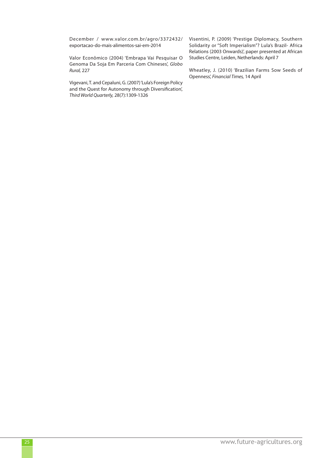December / www.valor.com.br/agro/3372432/ exportacao-do-mais-alimentos-sai-em-2014

Valor Econômico (2004) 'Embrapa Vai Pesquisar O Genoma Da Soja Em Parceria Com Chineses', *Globo Rural,* 227

Vigevani, T. and Cepaluni, G. (2007) 'Lula's Foreign Policy and the Quest for Autonomy through Diversification', *Third World Quarterly,* 28(7):1309-1326

Visentini, P. (2009) 'Prestige Diplomacy, Southern Solidarity or "Soft Imperialism"? Lula's Brazil- Africa Relations (2003 Onwards)', paper presented at African Studies Centre, Leiden, Netherlands: April 7

Wheatley, J. (2010) 'Brazilian Farms Sow Seeds of Openness', *Financial Times,* 14 April